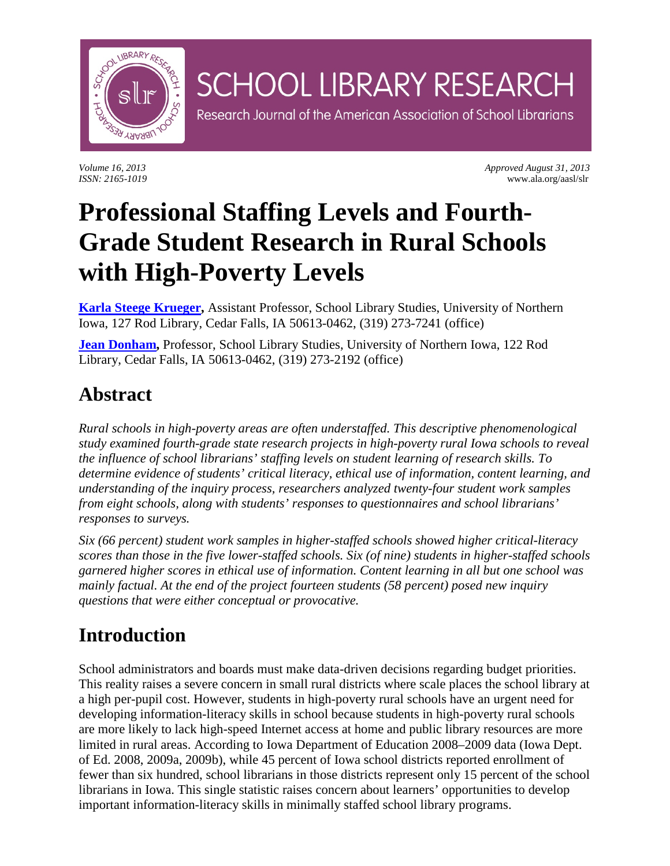

*Volume 16, 2013 Approved August 31, 2013 ISSN: 2165-1019* www.ala.org/aasl/slr

# **Professional Staffing Levels and Fourth-Grade Student Research in Rural Schools with High-Poverty Levels**

**SCHOOL LIBRARY RESEARCH** 

Research Journal of the American Association of School Librarians

**[Karla Steege Krueger,](mailto:karla.krueger@uni.edu)** Assistant Professor, School Library Studies, University of Northern Iowa, 127 Rod Library, Cedar Falls, IA 50613-0462, (319) 273-7241 (office)

**[Jean Donham,](mailto:jean.donham@uni.edu)** Professor, School Library Studies, University of Northern Iowa, 122 Rod Library, Cedar Falls, IA 50613-0462, (319) 273-2192 (office)

## **Abstract**

*Rural schools in high-poverty areas are often understaffed. This descriptive phenomenological study examined fourth-grade state research projects in high-poverty rural Iowa schools to reveal the influence of school librarians' staffing levels on student learning of research skills. To determine evidence of students' critical literacy, ethical use of information, content learning, and understanding of the inquiry process, researchers analyzed twenty-four student work samples from eight schools, along with students' responses to questionnaires and school librarians' responses to surveys.* 

*Six (66 percent) student work samples in higher-staffed schools showed higher critical-literacy scores than those in the five lower-staffed schools. Six (of nine) students in higher-staffed schools garnered higher scores in ethical use of information. Content learning in all but one school was mainly factual. At the end of the project fourteen students (58 percent) posed new inquiry questions that were either conceptual or provocative.*

## **Introduction**

School administrators and boards must make data-driven decisions regarding budget priorities. This reality raises a severe concern in small rural districts where scale places the school library at a high per-pupil cost. However, students in high-poverty rural schools have an urgent need for developing information-literacy skills in school because students in high-poverty rural schools are more likely to lack high-speed Internet access at home and public library resources are more limited in rural areas. According to Iowa Department of Education 2008–2009 data (Iowa Dept. of Ed. 2008, 2009a, 2009b), while 45 percent of Iowa school districts reported enrollment of fewer than six hundred, school librarians in those districts represent only 15 percent of the school librarians in Iowa. This single statistic raises concern about learners' opportunities to develop important information-literacy skills in minimally staffed school library programs.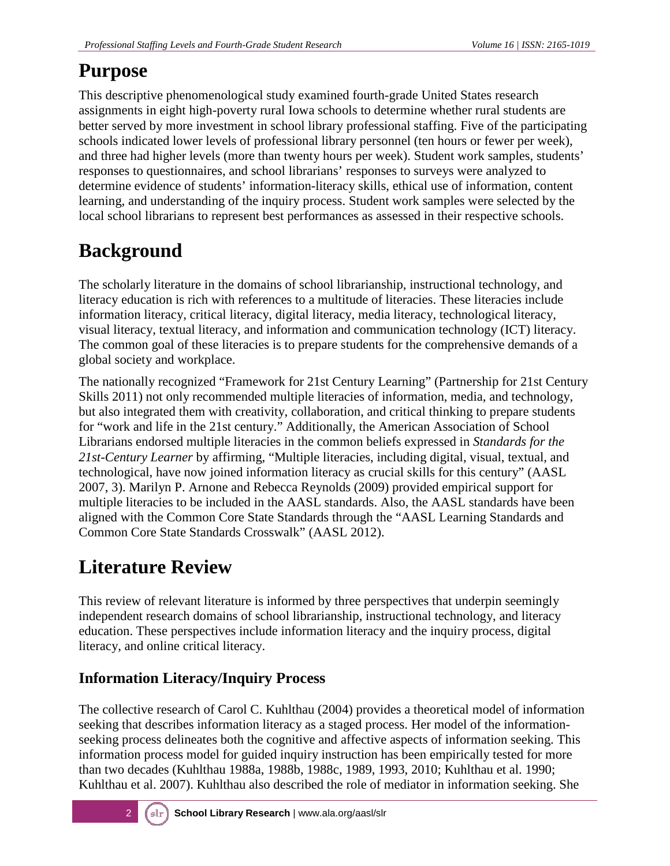## **Purpose**

This descriptive phenomenological study examined fourth-grade United States research assignments in eight high-poverty rural Iowa schools to determine whether rural students are better served by more investment in school library professional staffing. Five of the participating schools indicated lower levels of professional library personnel (ten hours or fewer per week), and three had higher levels (more than twenty hours per week). Student work samples, students' responses to questionnaires, and school librarians' responses to surveys were analyzed to determine evidence of students' information-literacy skills, ethical use of information, content learning, and understanding of the inquiry process. Student work samples were selected by the local school librarians to represent best performances as assessed in their respective schools.

## **Background**

The scholarly literature in the domains of school librarianship, instructional technology, and literacy education is rich with references to a multitude of literacies. These literacies include information literacy, critical literacy, digital literacy, media literacy, technological literacy, visual literacy, textual literacy, and information and communication technology (ICT) literacy. The common goal of these literacies is to prepare students for the comprehensive demands of a global society and workplace.

The nationally recognized "Framework for 21st Century Learning" (Partnership for 21st Century Skills 2011) not only recommended multiple literacies of information, media, and technology, but also integrated them with creativity, collaboration, and critical thinking to prepare students for "work and life in the 21st century." Additionally, the American Association of School Librarians endorsed multiple literacies in the common beliefs expressed in *Standards for the 21st-Century Learner* by affirming, "Multiple literacies, including digital, visual, textual, and technological, have now joined information literacy as crucial skills for this century" (AASL 2007, 3). Marilyn P. Arnone and Rebecca Reynolds (2009) provided empirical support for multiple literacies to be included in the AASL standards. Also, the AASL standards have been aligned with the Common Core State Standards through the "AASL Learning Standards and Common Core State Standards Crosswalk" (AASL 2012).

## **Literature Review**

This review of relevant literature is informed by three perspectives that underpin seemingly independent research domains of school librarianship, instructional technology, and literacy education. These perspectives include information literacy and the inquiry process, digital literacy, and online critical literacy.

### **Information Literacy/Inquiry Process**

The collective research of Carol C. Kuhlthau (2004) provides a theoretical model of information seeking that describes information literacy as a staged process. Her model of the informationseeking process delineates both the cognitive and affective aspects of information seeking. This information process model for guided inquiry instruction has been empirically tested for more than two decades (Kuhlthau 1988a, 1988b, 1988c, 1989, 1993, 2010; Kuhlthau et al. 1990; Kuhlthau et al. 2007). Kuhlthau also described the role of mediator in information seeking. She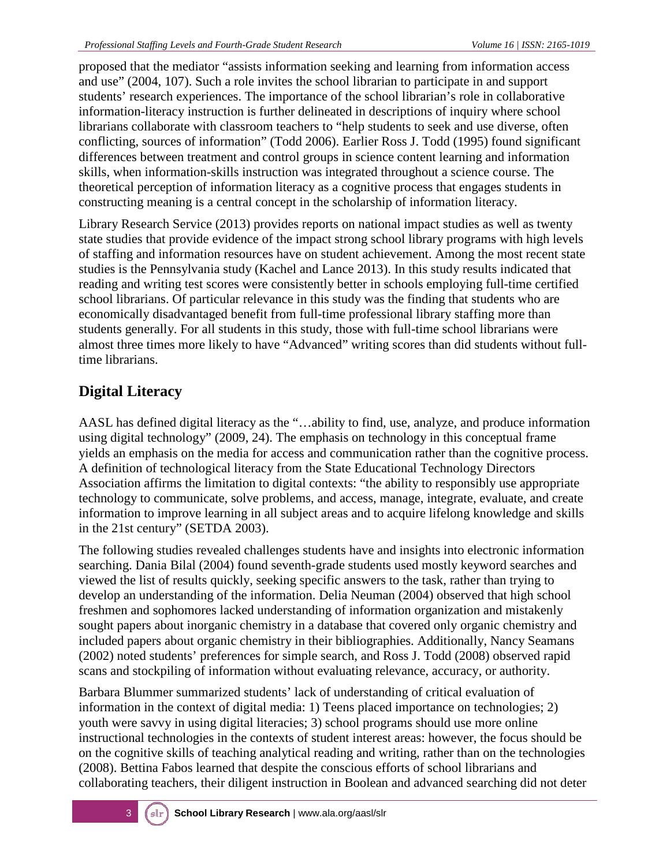proposed that the mediator "assists information seeking and learning from information access and use" (2004, 107). Such a role invites the school librarian to participate in and support students' research experiences. The importance of the school librarian's role in collaborative information-literacy instruction is further delineated in descriptions of inquiry where school librarians collaborate with classroom teachers to "help students to seek and use diverse, often conflicting, sources of information" (Todd 2006). Earlier Ross J. Todd (1995) found significant differences between treatment and control groups in science content learning and information skills, when information-skills instruction was integrated throughout a science course. The theoretical perception of information literacy as a cognitive process that engages students in constructing meaning is a central concept in the scholarship of information literacy.

Library Research Service (2013) provides reports on national impact studies as well as twenty state studies that provide evidence of the impact strong school library programs with high levels of staffing and information resources have on student achievement. Among the most recent state studies is the Pennsylvania study (Kachel and Lance 2013). In this study results indicated that reading and writing test scores were consistently better in schools employing full-time certified school librarians. Of particular relevance in this study was the finding that students who are economically disadvantaged benefit from full-time professional library staffing more than students generally. For all students in this study, those with full-time school librarians were almost three times more likely to have "Advanced" writing scores than did students without fulltime librarians.

### **Digital Literacy**

AASL has defined digital literacy as the "…ability to find, use, analyze, and produce information using digital technology" (2009, 24). The emphasis on technology in this conceptual frame yields an emphasis on the media for access and communication rather than the cognitive process. A definition of technological literacy from the State Educational Technology Directors Association affirms the limitation to digital contexts: "the ability to responsibly use appropriate technology to communicate, solve problems, and access, manage, integrate, evaluate, and create information to improve learning in all subject areas and to acquire lifelong knowledge and skills in the 21st century" (SETDA 2003).

The following studies revealed challenges students have and insights into electronic information searching. Dania Bilal (2004) found seventh-grade students used mostly keyword searches and viewed the list of results quickly, seeking specific answers to the task, rather than trying to develop an understanding of the information. Delia Neuman (2004) observed that high school freshmen and sophomores lacked understanding of information organization and mistakenly sought papers about inorganic chemistry in a database that covered only organic chemistry and included papers about organic chemistry in their bibliographies. Additionally, Nancy Seamans (2002) noted students' preferences for simple search, and Ross J. Todd (2008) observed rapid scans and stockpiling of information without evaluating relevance, accuracy, or authority.

Barbara Blummer summarized students' lack of understanding of critical evaluation of information in the context of digital media: 1) Teens placed importance on technologies; 2) youth were savvy in using digital literacies; 3) school programs should use more online instructional technologies in the contexts of student interest areas: however, the focus should be on the cognitive skills of teaching analytical reading and writing, rather than on the technologies (2008). Bettina Fabos learned that despite the conscious efforts of school librarians and collaborating teachers, their diligent instruction in Boolean and advanced searching did not deter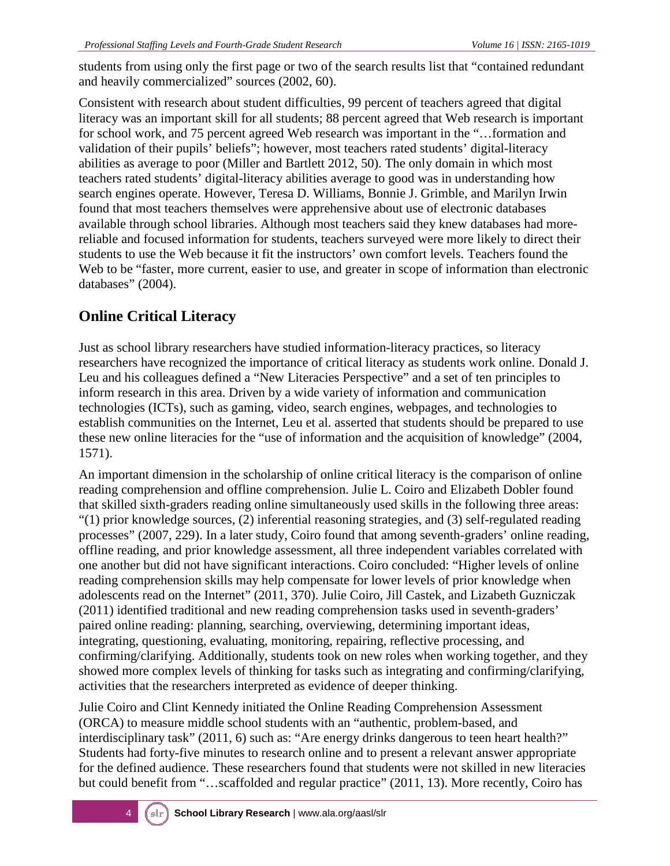students from using only the first page or two of the search results list that "contained redundant and heavily commercialized" sources (2002, 60).

Consistent with research about student difficulties, 99 percent of teachers agreed that digital literacy was an important skill for all students; 88 percent agreed that Web research is important for school work, and 75 percent agreed Web research was important in the "…formation and validation of their pupils' beliefs"; however, most teachers rated students' digital-literacy abilities as average to poor (Miller and Bartlett 2012, 50). The only domain in which most teachers rated students' digital-literacy abilities average to good was in understanding how search engines operate. However, Teresa D. Williams, Bonnie J. Grimble, and Marilyn Irwin found that most teachers themselves were apprehensive about use of electronic databases available through school libraries. Although most teachers said they knew databases had morereliable and focused information for students, teachers surveyed were more likely to direct their students to use the Web because it fit the instructors' own comfort levels. Teachers found the Web to be "faster, more current, easier to use, and greater in scope of information than electronic databases" (2004).

### **Online Critical Literacy**

Just as school library researchers have studied information-literacy practices, so literacy researchers have recognized the importance of critical literacy as students work online. Donald J. Leu and his colleagues defined a "New Literacies Perspective" and a set of ten principles to inform research in this area. Driven by a wide variety of information and communication technologies (ICTs), such as gaming, video, search engines, webpages, and technologies to establish communities on the Internet, Leu et al. asserted that students should be prepared to use these new online literacies for the "use of information and the acquisition of knowledge" (2004, 1571).

An important dimension in the scholarship of online critical literacy is the comparison of online reading comprehension and offline comprehension. Julie L. Coiro and Elizabeth Dobler found that skilled sixth-graders reading online simultaneously used skills in the following three areas: "(1) prior knowledge sources, (2) inferential reasoning strategies, and (3) self-regulated reading processes" (2007, 229). In a later study, Coiro found that among seventh-graders' online reading, offline reading, and prior knowledge assessment, all three independent variables correlated with one another but did not have significant interactions. Coiro concluded: "Higher levels of online reading comprehension skills may help compensate for lower levels of prior knowledge when adolescents read on the Internet" (2011, 370). Julie Coiro, Jill Castek, and Lizabeth Guzniczak (2011) identified traditional and new reading comprehension tasks used in seventh-graders' paired online reading: planning, searching, overviewing, determining important ideas, integrating, questioning, evaluating, monitoring, repairing, reflective processing, and confirming/clarifying. Additionally, students took on new roles when working together, and they showed more complex levels of thinking for tasks such as integrating and confirming/clarifying, activities that the researchers interpreted as evidence of deeper thinking.

Julie Coiro and Clint Kennedy initiated the Online Reading Comprehension Assessment (ORCA) to measure middle school students with an "authentic, problem-based, and interdisciplinary task" (2011, 6) such as: "Are energy drinks dangerous to teen heart health?" Students had forty-five minutes to research online and to present a relevant answer appropriate for the defined audience. These researchers found that students were not skilled in new literacies but could benefit from "...scaffolded and regular practice" (2011, 13). More recently, Coiro has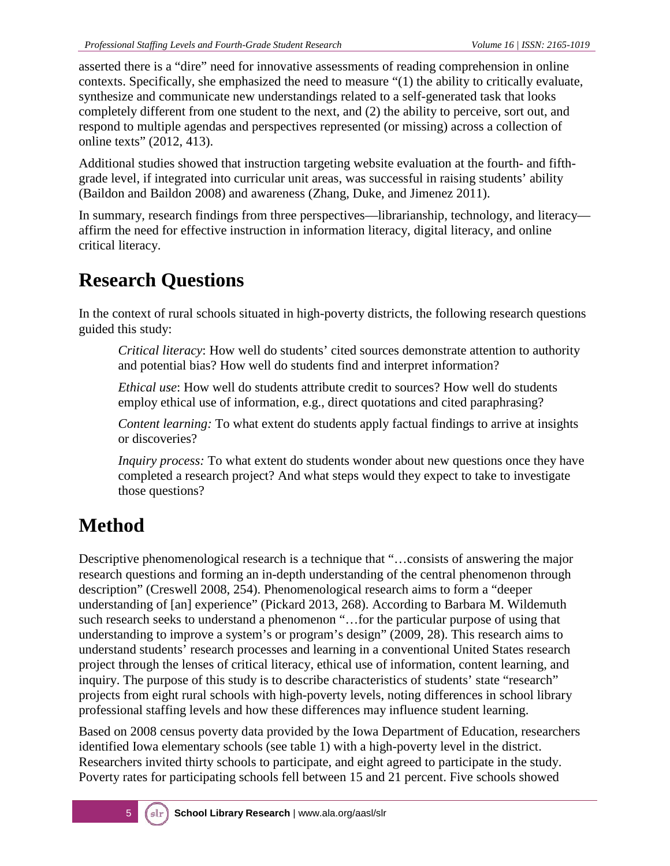asserted there is a "dire" need for innovative assessments of reading comprehension in online contexts. Specifically, she emphasized the need to measure "(1) the ability to critically evaluate, synthesize and communicate new understandings related to a self-generated task that looks completely different from one student to the next, and (2) the ability to perceive, sort out, and respond to multiple agendas and perspectives represented (or missing) across a collection of online texts" (2012, 413).

Additional studies showed that instruction targeting website evaluation at the fourth- and fifthgrade level, if integrated into curricular unit areas, was successful in raising students' ability (Baildon and Baildon 2008) and awareness (Zhang, Duke, and Jimenez 2011).

In summary, research findings from three perspectives—librarianship, technology, and literacy affirm the need for effective instruction in information literacy, digital literacy, and online critical literacy.

## **Research Questions**

In the context of rural schools situated in high-poverty districts, the following research questions guided this study:

*Critical literacy*: How well do students' cited sources demonstrate attention to authority and potential bias? How well do students find and interpret information?

*Ethical use*: How well do students attribute credit to sources? How well do students employ ethical use of information, e.g., direct quotations and cited paraphrasing?

*Content learning:* To what extent do students apply factual findings to arrive at insights or discoveries?

*Inquiry process:* To what extent do students wonder about new questions once they have completed a research project? And what steps would they expect to take to investigate those questions?

## **Method**

Descriptive phenomenological research is a technique that "…consists of answering the major research questions and forming an in-depth understanding of the central phenomenon through description" (Creswell 2008, 254). Phenomenological research aims to form a "deeper understanding of [an] experience" (Pickard 2013, 268). According to Barbara M. Wildemuth such research seeks to understand a phenomenon "…for the particular purpose of using that understanding to improve a system's or program's design" (2009, 28). This research aims to understand students' research processes and learning in a conventional United States research project through the lenses of critical literacy, ethical use of information, content learning, and inquiry. The purpose of this study is to describe characteristics of students' state "research" projects from eight rural schools with high-poverty levels, noting differences in school library professional staffing levels and how these differences may influence student learning.

Based on 2008 census poverty data provided by the Iowa Department of Education, researchers identified Iowa elementary schools (see table 1) with a high-poverty level in the district. Researchers invited thirty schools to participate, and eight agreed to participate in the study. Poverty rates for participating schools fell between 15 and 21 percent. Five schools showed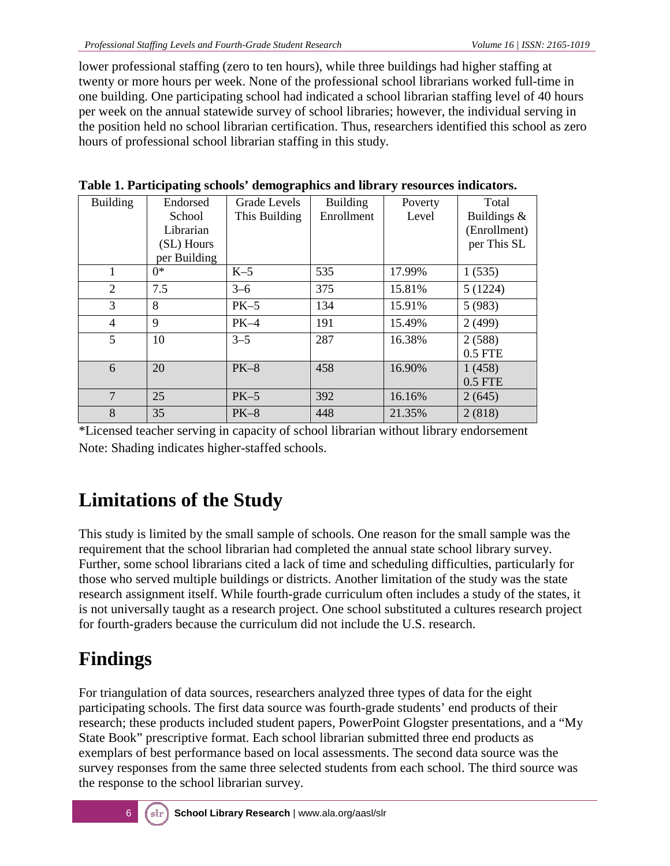lower professional staffing (zero to ten hours), while three buildings had higher staffing at twenty or more hours per week. None of the professional school librarians worked full-time in one building. One participating school had indicated a school librarian staffing level of 40 hours per week on the annual statewide survey of school libraries; however, the individual serving in the position held no school librarian certification. Thus, researchers identified this school as zero hours of professional school librarian staffing in this study.

| <b>Building</b> | Endorsed     | Grade Levels  | <b>Building</b> | Poverty | Total          |
|-----------------|--------------|---------------|-----------------|---------|----------------|
|                 | School       | This Building | Enrollment      | Level   | Buildings $\&$ |
|                 | Librarian    |               |                 |         | (Enrollment)   |
|                 | (SL) Hours   |               |                 |         | per This SL    |
|                 | per Building |               |                 |         |                |
| 1               | $0^*$        | $K-5$         | 535             | 17.99%  | 1(535)         |
| 2               | 7.5          | $3 - 6$       | 375             | 15.81%  | 5(1224)        |
| 3               | 8            | $PK-5$        | 134             | 15.91%  | 5(983)         |
| 4               | 9            | $PK-4$        | 191             | 15.49%  | 2(499)         |
| 5               | 10           | $3 - 5$       | 287             | 16.38%  | 2(588)         |
|                 |              |               |                 |         | 0.5 FTE        |
| 6               | 20           | $PK-8$        | 458             | 16.90%  | 1(458)         |
|                 |              |               |                 |         | $0.5$ FTE      |
| 7               | 25           | $PK-5$        | 392             | 16.16%  | 2(645)         |
| 8               | 35           | $PK-8$        | 448             | 21.35%  | 2(818)         |

**Table 1. Participating schools' demographics and library resources indicators.**

\*Licensed teacher serving in capacity of school librarian without library endorsement Note: Shading indicates higher-staffed schools.

## **Limitations of the Study**

This study is limited by the small sample of schools. One reason for the small sample was the requirement that the school librarian had completed the annual state school library survey. Further, some school librarians cited a lack of time and scheduling difficulties, particularly for those who served multiple buildings or districts. Another limitation of the study was the state research assignment itself. While fourth-grade curriculum often includes a study of the states, it is not universally taught as a research project. One school substituted a cultures research project for fourth-graders because the curriculum did not include the U.S. research.

## **Findings**

For triangulation of data sources, researchers analyzed three types of data for the eight participating schools. The first data source was fourth-grade students' end products of their research; these products included student papers, PowerPoint Glogster presentations, and a "My State Book" prescriptive format. Each school librarian submitted three end products as exemplars of best performance based on local assessments. The second data source was the survey responses from the same three selected students from each school. The third source was the response to the school librarian survey.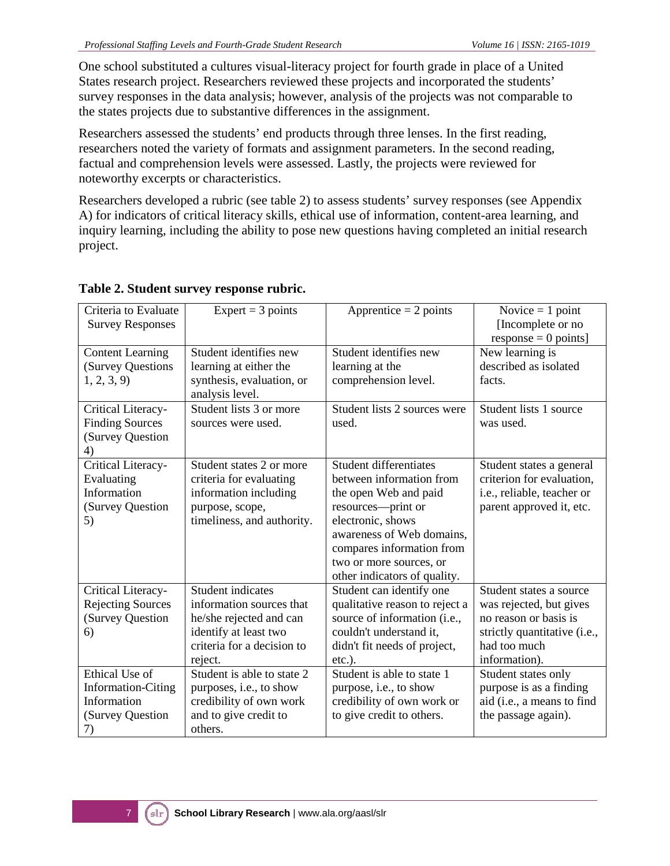One school substituted a cultures visual-literacy project for fourth grade in place of a United States research project. Researchers reviewed these projects and incorporated the students' survey responses in the data analysis; however, analysis of the projects was not comparable to the states projects due to substantive differences in the assignment.

Researchers assessed the students' end products through three lenses. In the first reading, researchers noted the variety of formats and assignment parameters. In the second reading, factual and comprehension levels were assessed. Lastly, the projects were reviewed for noteworthy excerpts or characteristics.

Researchers developed a rubric (see table 2) to assess students' survey responses (see Appendix A) for indicators of critical literacy skills, ethical use of information, content-area learning, and inquiry learning, including the ability to pose new questions having completed an initial research project.

| Criteria to Evaluate<br><b>Survey Responses</b>                                      | Expert = $3$ points                                                                                                                        | Apprentice $= 2$ points                                                                                                                                                                                                                            | Novice $= 1$ point<br>[Incomplete or no<br>$response = 0$ points]                                                                            |
|--------------------------------------------------------------------------------------|--------------------------------------------------------------------------------------------------------------------------------------------|----------------------------------------------------------------------------------------------------------------------------------------------------------------------------------------------------------------------------------------------------|----------------------------------------------------------------------------------------------------------------------------------------------|
| <b>Content Learning</b><br>(Survey Questions<br>1, 2, 3, 9                           | Student identifies new<br>learning at either the<br>synthesis, evaluation, or<br>analysis level.                                           | Student identifies new<br>learning at the<br>comprehension level.                                                                                                                                                                                  | New learning is<br>described as isolated<br>facts.                                                                                           |
| Critical Literacy-<br><b>Finding Sources</b><br>(Survey Question<br>4)               | Student lists 3 or more<br>sources were used.                                                                                              | Student lists 2 sources were<br>used.                                                                                                                                                                                                              | Student lists 1 source<br>was used.                                                                                                          |
| Critical Literacy-<br>Evaluating<br>Information<br>(Survey Question<br>5)            | Student states 2 or more<br>criteria for evaluating<br>information including<br>purpose, scope,<br>timeliness, and authority.              | <b>Student differentiates</b><br>between information from<br>the open Web and paid<br>resources-print or<br>electronic, shows<br>awareness of Web domains,<br>compares information from<br>two or more sources, or<br>other indicators of quality. | Student states a general<br>criterion for evaluation,<br>i.e., reliable, teacher or<br>parent approved it, etc.                              |
| Critical Literacy-<br><b>Rejecting Sources</b><br>(Survey Question<br>6)             | Student indicates<br>information sources that<br>he/she rejected and can<br>identify at least two<br>criteria for a decision to<br>reject. | Student can identify one<br>qualitative reason to reject a<br>source of information (i.e.,<br>couldn't understand it,<br>didn't fit needs of project,<br>$etc.$ ).                                                                                 | Student states a source<br>was rejected, but gives<br>no reason or basis is<br>strictly quantitative (i.e.,<br>had too much<br>information). |
| Ethical Use of<br><b>Information-Citing</b><br>Information<br>(Survey Question<br>7) | Student is able to state 2<br>purposes, i.e., to show<br>credibility of own work<br>and to give credit to<br>others.                       | Student is able to state 1<br>purpose, i.e., to show<br>credibility of own work or<br>to give credit to others.                                                                                                                                    | Student states only<br>purpose is as a finding<br>aid (i.e., a means to find<br>the passage again).                                          |

#### **Table 2. Student survey response rubric.**

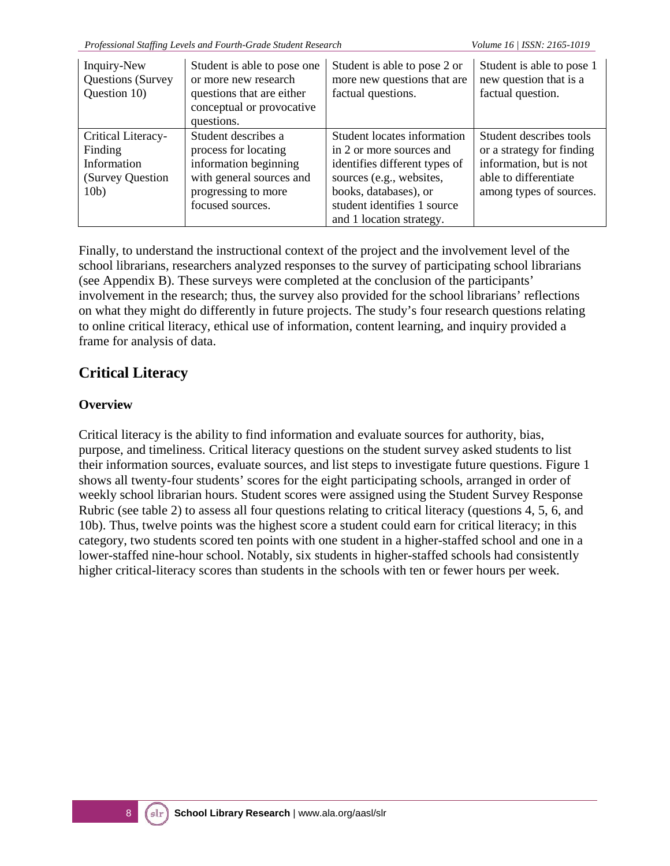| Inquiry-New<br>Questions (Survey<br>Question 10)                          | Student is able to pose one<br>or more new research<br>questions that are either<br>conceptual or provocative<br>questions.                 | Student is able to pose 2 or<br>more new questions that are<br>factual questions.                                                                                                                        | Student is able to pose 1<br>new question that is a<br>factual question.                                                            |
|---------------------------------------------------------------------------|---------------------------------------------------------------------------------------------------------------------------------------------|----------------------------------------------------------------------------------------------------------------------------------------------------------------------------------------------------------|-------------------------------------------------------------------------------------------------------------------------------------|
| Critical Literacy-<br>Finding<br>Information<br>(Survey Question)<br>10b) | Student describes a<br>process for locating<br>information beginning<br>with general sources and<br>progressing to more<br>focused sources. | Student locates information<br>in 2 or more sources and<br>identifies different types of<br>sources (e.g., websites,<br>books, databases), or<br>student identifies 1 source<br>and 1 location strategy. | Student describes tools<br>or a strategy for finding<br>information, but is not<br>able to differentiate<br>among types of sources. |

Finally, to understand the instructional context of the project and the involvement level of the school librarians, researchers analyzed responses to the survey of participating school librarians (see Appendix B). These surveys were completed at the conclusion of the participants' involvement in the research; thus, the survey also provided for the school librarians' reflections on what they might do differently in future projects. The study's four research questions relating to online critical literacy, ethical use of information, content learning, and inquiry provided a frame for analysis of data.

### **Critical Literacy**

#### **Overview**

Critical literacy is the ability to find information and evaluate sources for authority, bias, purpose, and timeliness. Critical literacy questions on the student survey asked students to list their information sources, evaluate sources, and list steps to investigate future questions. Figure 1 shows all twenty-four students' scores for the eight participating schools, arranged in order of weekly school librarian hours. Student scores were assigned using the Student Survey Response Rubric (see table 2) to assess all four questions relating to critical literacy (questions 4, 5, 6, and 10b). Thus, twelve points was the highest score a student could earn for critical literacy; in this category, two students scored ten points with one student in a higher-staffed school and one in a lower-staffed nine-hour school. Notably, six students in higher-staffed schools had consistently higher critical-literacy scores than students in the schools with ten or fewer hours per week.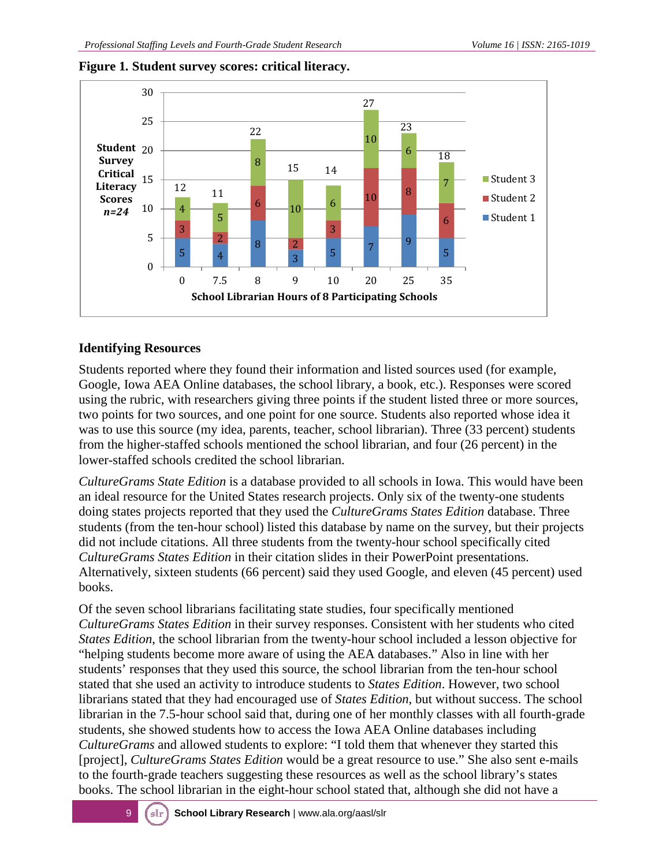

#### **Figure 1***.* **Student survey scores: critical literacy.**

#### **Identifying Resources**

Students reported where they found their information and listed sources used (for example, Google, Iowa AEA Online databases, the school library, a book, etc.). Responses were scored using the rubric, with researchers giving three points if the student listed three or more sources, two points for two sources, and one point for one source. Students also reported whose idea it was to use this source (my idea, parents, teacher, school librarian). Three (33 percent) students from the higher-staffed schools mentioned the school librarian, and four (26 percent) in the lower-staffed schools credited the school librarian.

*CultureGrams State Edition* is a database provided to all schools in Iowa. This would have been an ideal resource for the United States research projects. Only six of the twenty-one students doing states projects reported that they used the *CultureGrams States Edition* database. Three students (from the ten-hour school) listed this database by name on the survey, but their projects did not include citations. All three students from the twenty-hour school specifically cited *CultureGrams States Edition* in their citation slides in their PowerPoint presentations. Alternatively, sixteen students (66 percent) said they used Google, and eleven (45 percent) used books.

Of the seven school librarians facilitating state studies, four specifically mentioned *CultureGrams States Edition* in their survey responses. Consistent with her students who cited *States Edition*, the school librarian from the twenty-hour school included a lesson objective for "helping students become more aware of using the AEA databases." Also in line with her students' responses that they used this source, the school librarian from the ten-hour school stated that she used an activity to introduce students to *States Edition*. However, two school librarians stated that they had encouraged use of *States Edition*, but without success. The school librarian in the 7.5-hour school said that, during one of her monthly classes with all fourth-grade students, she showed students how to access the Iowa AEA Online databases including *CultureGrams* and allowed students to explore: "I told them that whenever they started this [project], *CultureGrams States Edition* would be a great resource to use." She also sent e-mails to the fourth-grade teachers suggesting these resources as well as the school library's states books. The school librarian in the eight-hour school stated that, although she did not have a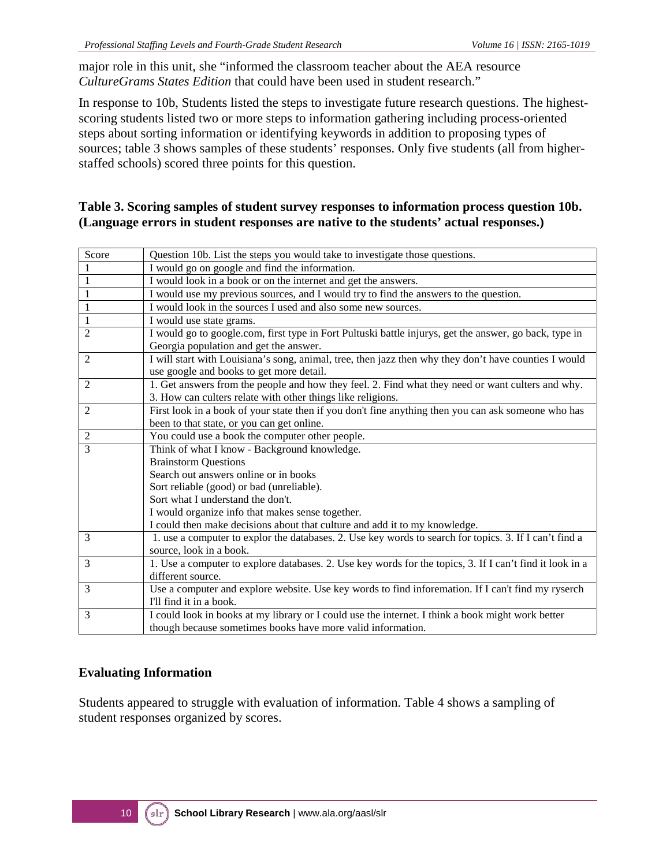major role in this unit, she "informed the classroom teacher about the AEA resource *CultureGrams States Edition* that could have been used in student research."

In response to 10b, Students listed the steps to investigate future research questions. The highestscoring students listed two or more steps to information gathering including process-oriented steps about sorting information or identifying keywords in addition to proposing types of sources; table 3 shows samples of these students' responses. Only five students (all from higherstaffed schools) scored three points for this question.

#### **Table 3. Scoring samples of student survey responses to information process question 10b. (Language errors in student responses are native to the students' actual responses.)**

| Score          | Question 10b. List the steps you would take to investigate those questions.                              |  |  |
|----------------|----------------------------------------------------------------------------------------------------------|--|--|
| 1              | I would go on google and find the information.                                                           |  |  |
| 1              | I would look in a book or on the internet and get the answers.                                           |  |  |
| 1              | I would use my previous sources, and I would try to find the answers to the question.                    |  |  |
| $\mathbf{1}$   | I would look in the sources I used and also some new sources.                                            |  |  |
| $\mathbf{1}$   | I would use state grams.                                                                                 |  |  |
| $\overline{2}$ | I would go to google.com, first type in Fort Pultuski battle injurys, get the answer, go back, type in   |  |  |
|                | Georgia population and get the answer.                                                                   |  |  |
| 2              | I will start with Louisiana's song, animal, tree, then jazz then why they don't have counties I would    |  |  |
|                | use google and books to get more detail.                                                                 |  |  |
| 2              | 1. Get answers from the people and how they feel. 2. Find what they need or want culters and why.        |  |  |
|                | 3. How can culters relate with other things like religions.                                              |  |  |
| 2              | First look in a book of your state then if you don't fine anything then you can ask someone who has      |  |  |
|                | been to that state, or you can get online.                                                               |  |  |
| $\overline{2}$ | You could use a book the computer other people.                                                          |  |  |
| 3              | Think of what I know - Background knowledge.                                                             |  |  |
|                | <b>Brainstorm Questions</b>                                                                              |  |  |
|                | Search out answers online or in books                                                                    |  |  |
|                | Sort reliable (good) or bad (unreliable).                                                                |  |  |
|                | Sort what I understand the don't.                                                                        |  |  |
|                | I would organize info that makes sense together.                                                         |  |  |
|                | I could then make decisions about that culture and add it to my knowledge.                               |  |  |
| 3              | 1. use a computer to explor the databases. 2. Use key words to search for topics. 3. If I can't find a   |  |  |
|                | source, look in a book.                                                                                  |  |  |
| 3              | 1. Use a computer to explore databases. 2. Use key words for the topics, 3. If I can't find it look in a |  |  |
|                | different source.                                                                                        |  |  |
| 3              | Use a computer and explore website. Use key words to find inforemation. If I can't find my ryserch       |  |  |
|                | I'll find it in a book.                                                                                  |  |  |
| 3              | I could look in books at my library or I could use the internet. I think a book might work better        |  |  |
|                | though because sometimes books have more valid information.                                              |  |  |

#### **Evaluating Information**

Students appeared to struggle with evaluation of information. Table 4 shows a sampling of student responses organized by scores.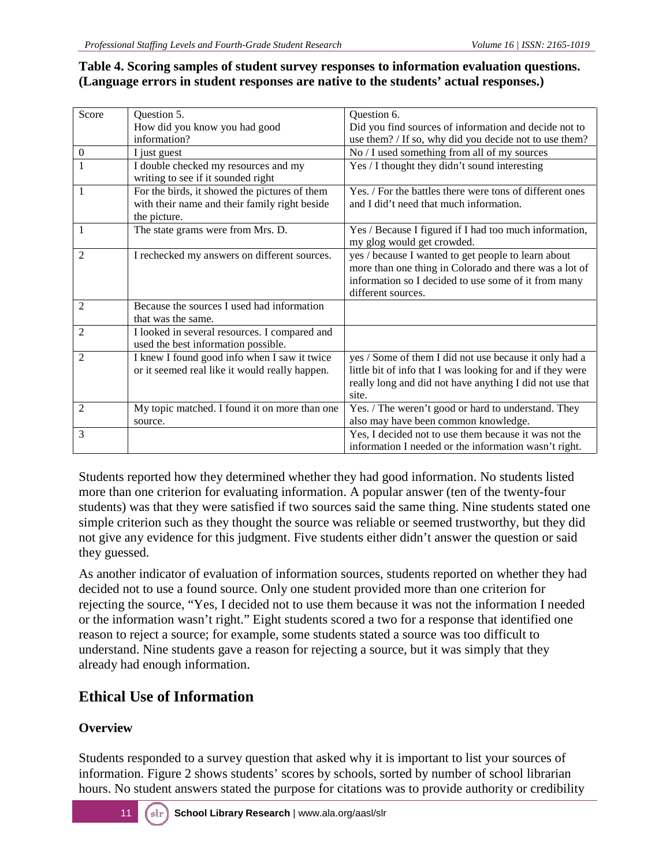#### **Table 4. Scoring samples of student survey responses to information evaluation questions. (Language errors in student responses are native to the students' actual responses.)**

| Score          | Question 5.                                    | Question 6.                                                |
|----------------|------------------------------------------------|------------------------------------------------------------|
|                | How did you know you had good                  | Did you find sources of information and decide not to      |
|                | information?                                   | use them? / If so, why did you decide not to use them?     |
| $\mathbf{0}$   | I just guest                                   | No / I used something from all of my sources               |
| $\mathbf{1}$   | I double checked my resources and my           | Yes / I thought they didn't sound interesting              |
|                | writing to see if it sounded right             |                                                            |
| 1              | For the birds, it showed the pictures of them  | Yes. / For the battles there were tons of different ones   |
|                | with their name and their family right beside  | and I did't need that much information.                    |
|                | the picture.                                   |                                                            |
| 1              | The state grams were from Mrs. D.              | Yes / Because I figured if I had too much information,     |
|                |                                                | my glog would get crowded.                                 |
| $\overline{2}$ | I rechecked my answers on different sources.   | yes / because I wanted to get people to learn about        |
|                |                                                | more than one thing in Colorado and there was a lot of     |
|                |                                                | information so I decided to use some of it from many       |
|                |                                                | different sources.                                         |
| 2              | Because the sources I used had information     |                                                            |
|                | that was the same.                             |                                                            |
| 2              | I looked in several resources. I compared and  |                                                            |
|                | used the best information possible.            |                                                            |
| $\overline{2}$ | I knew I found good info when I saw it twice   | yes / Some of them I did not use because it only had a     |
|                | or it seemed real like it would really happen. | little bit of info that I was looking for and if they were |
|                |                                                | really long and did not have anything I did not use that   |
|                |                                                | site.                                                      |
| 2              | My topic matched. I found it on more than one  | Yes. / The weren't good or hard to understand. They        |
|                | source.                                        | also may have been common knowledge.                       |
| 3              |                                                | Yes, I decided not to use them because it was not the      |
|                |                                                | information I needed or the information wasn't right.      |

Students reported how they determined whether they had good information. No students listed more than one criterion for evaluating information. A popular answer (ten of the twenty-four students) was that they were satisfied if two sources said the same thing. Nine students stated one simple criterion such as they thought the source was reliable or seemed trustworthy, but they did not give any evidence for this judgment. Five students either didn't answer the question or said they guessed.

As another indicator of evaluation of information sources, students reported on whether they had decided not to use a found source. Only one student provided more than one criterion for rejecting the source, "Yes, I decided not to use them because it was not the information I needed or the information wasn't right." Eight students scored a two for a response that identified one reason to reject a source; for example, some students stated a source was too difficult to understand. Nine students gave a reason for rejecting a source, but it was simply that they already had enough information.

### **Ethical Use of Information**

#### **Overview**

Students responded to a survey question that asked why it is important to list your sources of information. Figure 2 shows students' scores by schools, sorted by number of school librarian hours. No student answers stated the purpose for citations was to provide authority or credibility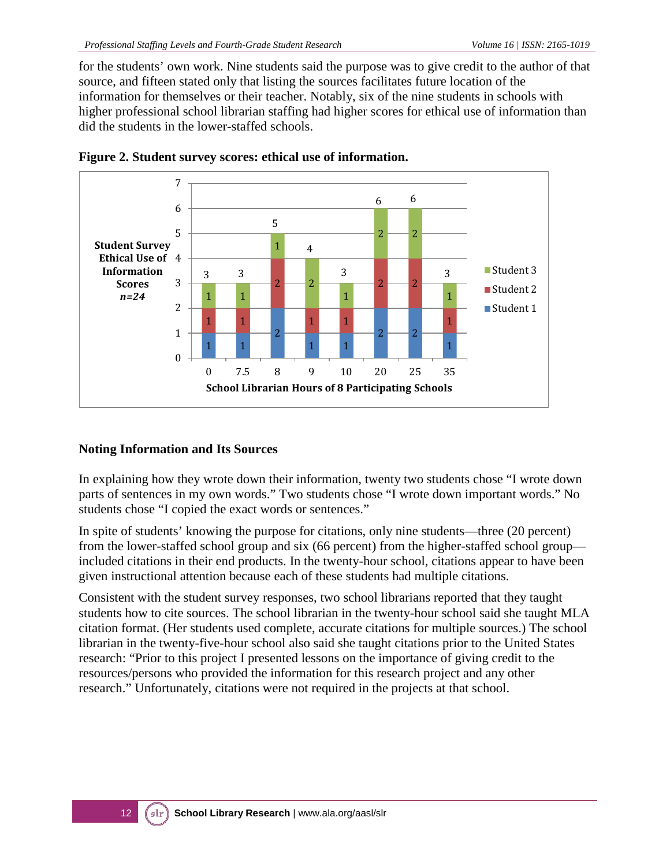for the students' own work. Nine students said the purpose was to give credit to the author of that source, and fifteen stated only that listing the sources facilitates future location of the information for themselves or their teacher. Notably, six of the nine students in schools with higher professional school librarian staffing had higher scores for ethical use of information than did the students in the lower-staffed schools.





#### **Noting Information and Its Sources**

In explaining how they wrote down their information, twenty two students chose "I wrote down parts of sentences in my own words." Two students chose "I wrote down important words." No students chose "I copied the exact words or sentences."

In spite of students' knowing the purpose for citations, only nine students—three (20 percent) from the lower-staffed school group and six (66 percent) from the higher-staffed school group included citations in their end products. In the twenty-hour school, citations appear to have been given instructional attention because each of these students had multiple citations.

Consistent with the student survey responses, two school librarians reported that they taught students how to cite sources. The school librarian in the twenty-hour school said she taught MLA citation format. (Her students used complete, accurate citations for multiple sources.) The school librarian in the twenty-five-hour school also said she taught citations prior to the United States research: "Prior to this project I presented lessons on the importance of giving credit to the resources/persons who provided the information for this research project and any other research." Unfortunately, citations were not required in the projects at that school.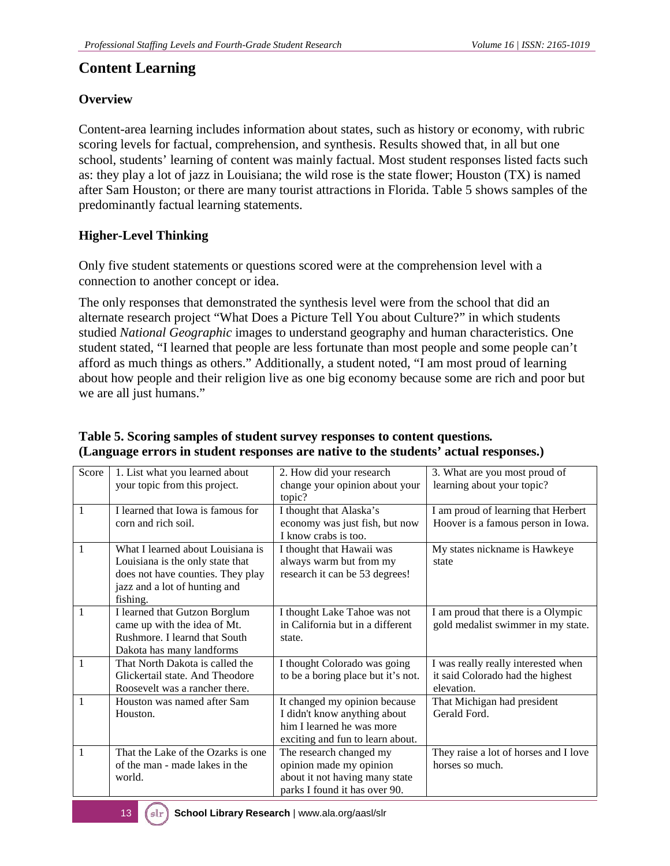### **Content Learning**

#### **Overview**

Content-area learning includes information about states, such as history or economy, with rubric scoring levels for factual, comprehension, and synthesis. Results showed that, in all but one school, students' learning of content was mainly factual. Most student responses listed facts such as: they play a lot of jazz in Louisiana; the wild rose is the state flower; Houston (TX) is named after Sam Houston; or there are many tourist attractions in Florida. Table 5 shows samples of the predominantly factual learning statements.

#### **Higher-Level Thinking**

Only five student statements or questions scored were at the comprehension level with a connection to another concept or idea.

The only responses that demonstrated the synthesis level were from the school that did an alternate research project "What Does a Picture Tell You about Culture?" in which students studied *National Geographic* images to understand geography and human characteristics. One student stated, "I learned that people are less fortunate than most people and some people can't afford as much things as others." Additionally, a student noted, "I am most proud of learning about how people and their religion live as one big economy because some are rich and poor but we are all just humans."

| Score        | 1. List what you learned about<br>your topic from this project.                                                                                         | 2. How did your research<br>change your opinion about your<br>topic?                                                           | 3. What are you most proud of<br>learning about your topic?                           |
|--------------|---------------------------------------------------------------------------------------------------------------------------------------------------------|--------------------------------------------------------------------------------------------------------------------------------|---------------------------------------------------------------------------------------|
| 1            | I learned that Iowa is famous for<br>corn and rich soil.                                                                                                | I thought that Alaska's<br>economy was just fish, but now<br>I know crabs is too.                                              | I am proud of learning that Herbert<br>Hoover is a famous person in Iowa.             |
| 1            | What I learned about Louisiana is<br>Louisiana is the only state that<br>does not have counties. They play<br>jazz and a lot of hunting and<br>fishing. | I thought that Hawaii was<br>always warm but from my<br>research it can be 53 degrees!                                         | My states nickname is Hawkeye<br>state                                                |
| $\mathbf{1}$ | I learned that Gutzon Borglum<br>came up with the idea of Mt.<br>Rushmore. I learnd that South<br>Dakota has many landforms                             | I thought Lake Tahoe was not<br>in California but in a different<br>state.                                                     | I am proud that there is a Olympic<br>gold medalist swimmer in my state.              |
| 1            | That North Dakota is called the<br>Glickertail state. And Theodore<br>Roosevelt was a rancher there.                                                    | I thought Colorado was going<br>to be a boring place but it's not.                                                             | I was really really interested when<br>it said Colorado had the highest<br>elevation. |
| 1            | Houston was named after Sam<br>Houston.                                                                                                                 | It changed my opinion because<br>I didn't know anything about<br>him I learned he was more<br>exciting and fun to learn about. | That Michigan had president<br>Gerald Ford.                                           |
| $\mathbf{1}$ | That the Lake of the Ozarks is one<br>of the man - made lakes in the<br>world.                                                                          | The research changed my<br>opinion made my opinion<br>about it not having many state<br>parks I found it has over 90.          | They raise a lot of horses and I love<br>horses so much.                              |

#### **Table 5. Scoring samples of student survey responses to content questions***.* **(Language errors in student responses are native to the students' actual responses.)**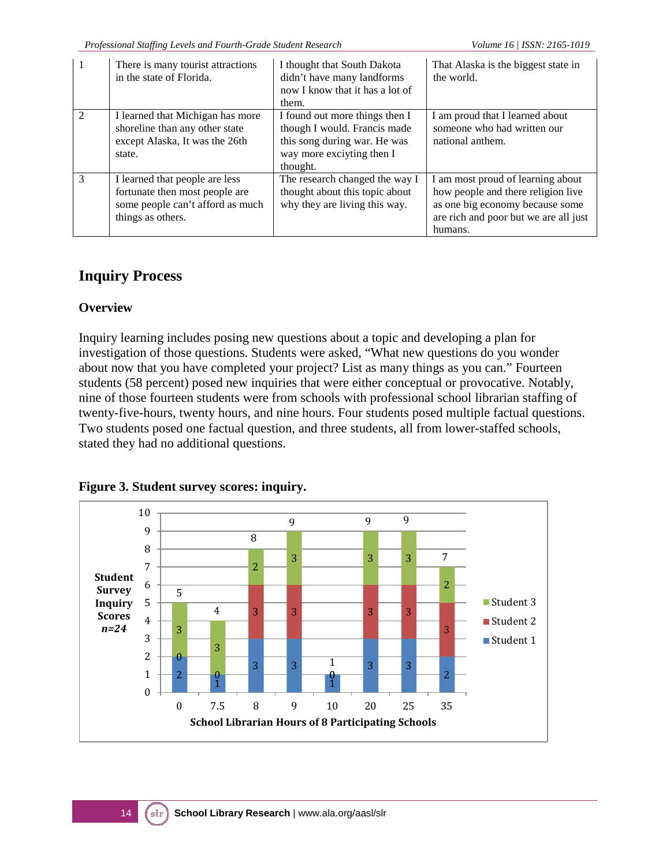| $\mathbf{1}$   | There is many tourist attractions<br>in the state of Florida.                                                             | I thought that South Dakota<br>didn't have many landforms<br>now I know that it has a lot of<br>them.                                   | That Alaska is the biggest state in<br>the world.                                                                                                              |
|----------------|---------------------------------------------------------------------------------------------------------------------------|-----------------------------------------------------------------------------------------------------------------------------------------|----------------------------------------------------------------------------------------------------------------------------------------------------------------|
| $\mathfrak{D}$ | I learned that Michigan has more<br>shoreline than any other state<br>except Alaska, It was the 26th<br>state.            | I found out more things then I<br>though I would. Francis made<br>this song during war. He was<br>way more exciviing then I<br>thought. | I am proud that I learned about<br>someone who had written our<br>national anthem.                                                                             |
| $\mathcal{E}$  | I learned that people are less<br>fortunate then most people are<br>some people can't afford as much<br>things as others. | The research changed the way I<br>thought about this topic about<br>why they are living this way.                                       | I am most proud of learning about<br>how people and there religion live<br>as one big economy because some<br>are rich and poor but we are all just<br>humans. |

### **Inquiry Process**

#### **Overview**

Inquiry learning includes posing new questions about a topic and developing a plan for investigation of those questions. Students were asked, "What new questions do you wonder about now that you have completed your project? List as many things as you can." Fourteen students (58 percent) posed new inquiries that were either conceptual or provocative. Notably, nine of those fourteen students were from schools with professional school librarian staffing of twenty-five-hours, twenty hours, and nine hours. Four students posed multiple factual questions. Two students posed one factual question, and three students, all from lower-staffed schools, stated they had no additional questions.



**Figure 3. Student survey scores: inquiry.**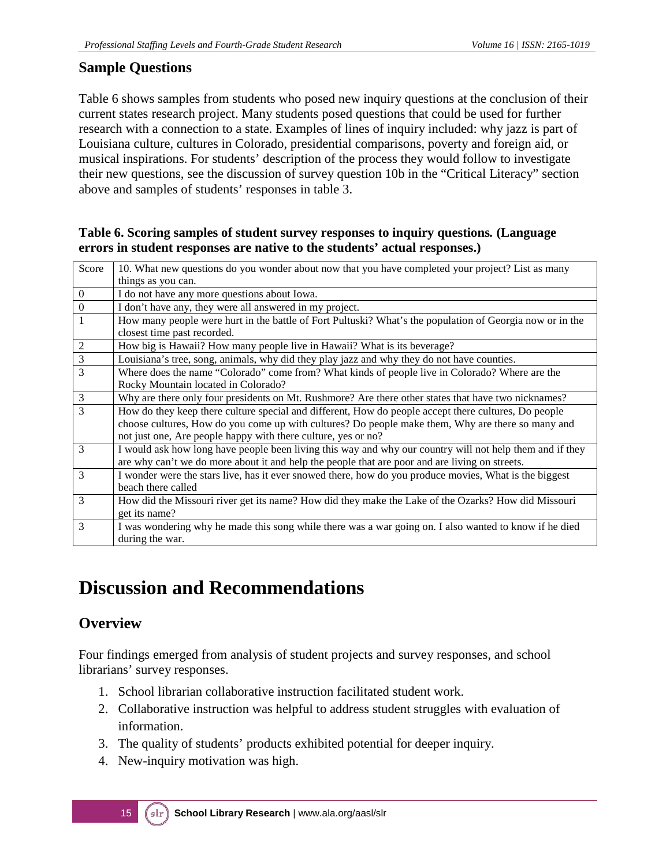#### **Sample Questions**

Table 6 shows samples from students who posed new inquiry questions at the conclusion of their current states research project. Many students posed questions that could be used for further research with a connection to a state. Examples of lines of inquiry included: why jazz is part of Louisiana culture, cultures in Colorado, presidential comparisons, poverty and foreign aid, or musical inspirations. For students' description of the process they would follow to investigate their new questions, see the discussion of survey question 10b in the "Critical Literacy" section above and samples of students' responses in table 3.

#### **Table 6. Scoring samples of student survey responses to inquiry questions***.* **(Language errors in student responses are native to the students' actual responses.)**

| Score            | 10. What new questions do you wonder about now that you have completed your project? List as many        |
|------------------|----------------------------------------------------------------------------------------------------------|
|                  | things as you can.                                                                                       |
| $\boldsymbol{0}$ | I do not have any more questions about Iowa.                                                             |
| $\boldsymbol{0}$ | I don't have any, they were all answered in my project.                                                  |
| $\mathbf{1}$     | How many people were hurt in the battle of Fort Pultuski? What's the population of Georgia now or in the |
|                  | closest time past recorded.                                                                              |
| $\overline{2}$   | How big is Hawaii? How many people live in Hawaii? What is its beverage?                                 |
| $\overline{3}$   | Louisiana's tree, song, animals, why did they play jazz and why they do not have counties.               |
| $\overline{3}$   | Where does the name "Colorado" come from? What kinds of people live in Colorado? Where are the           |
|                  | Rocky Mountain located in Colorado?                                                                      |
| $\mathfrak{Z}$   | Why are there only four presidents on Mt. Rushmore? Are there other states that have two nicknames?      |
| $\overline{3}$   | How do they keep there culture special and different, How do people accept there cultures, Do people     |
|                  | choose cultures, How do you come up with cultures? Do people make them, Why are there so many and        |
|                  | not just one, Are people happy with there culture, yes or no?                                            |
| 3                | I would ask how long have people been living this way and why our country will not help them and if they |
|                  | are why can't we do more about it and help the people that are poor and are living on streets.           |
| 3                | I wonder were the stars live, has it ever snowed there, how do you produce movies, What is the biggest   |
|                  | beach there called                                                                                       |
| 3                | How did the Missouri river get its name? How did they make the Lake of the Ozarks? How did Missouri      |
|                  | get its name?                                                                                            |
| 3                | I was wondering why he made this song while there was a war going on. I also wanted to know if he died   |
|                  | during the war.                                                                                          |

## **Discussion and Recommendations**

### **Overview**

Four findings emerged from analysis of student projects and survey responses, and school librarians' survey responses.

- 1. School librarian collaborative instruction facilitated student work.
- 2. Collaborative instruction was helpful to address student struggles with evaluation of information.
- 3. The quality of students' products exhibited potential for deeper inquiry.
- 4. New-inquiry motivation was high.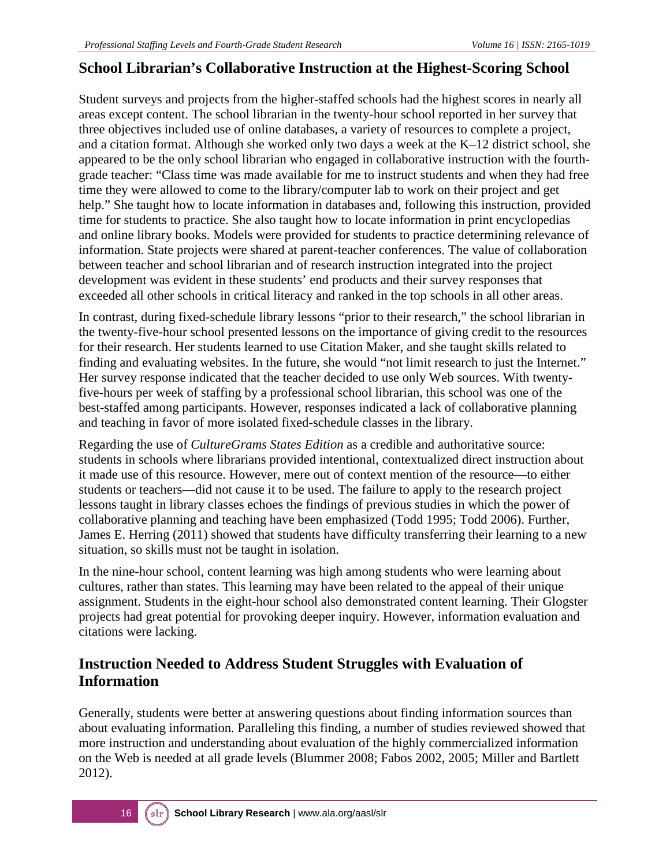### **School Librarian's Collaborative Instruction at the Highest-Scoring School**

Student surveys and projects from the higher-staffed schools had the highest scores in nearly all areas except content. The school librarian in the twenty-hour school reported in her survey that three objectives included use of online databases, a variety of resources to complete a project, and a citation format. Although she worked only two days a week at the K–12 district school, she appeared to be the only school librarian who engaged in collaborative instruction with the fourthgrade teacher: "Class time was made available for me to instruct students and when they had free time they were allowed to come to the library/computer lab to work on their project and get help." She taught how to locate information in databases and, following this instruction, provided time for students to practice. She also taught how to locate information in print encyclopedias and online library books. Models were provided for students to practice determining relevance of information. State projects were shared at parent-teacher conferences. The value of collaboration between teacher and school librarian and of research instruction integrated into the project development was evident in these students' end products and their survey responses that exceeded all other schools in critical literacy and ranked in the top schools in all other areas.

In contrast, during fixed-schedule library lessons "prior to their research," the school librarian in the twenty-five-hour school presented lessons on the importance of giving credit to the resources for their research. Her students learned to use Citation Maker, and she taught skills related to finding and evaluating websites. In the future, she would "not limit research to just the Internet." Her survey response indicated that the teacher decided to use only Web sources. With twentyfive-hours per week of staffing by a professional school librarian, this school was one of the best-staffed among participants. However, responses indicated a lack of collaborative planning and teaching in favor of more isolated fixed-schedule classes in the library.

Regarding the use of *CultureGrams States Edition* as a credible and authoritative source: students in schools where librarians provided intentional, contextualized direct instruction about it made use of this resource. However, mere out of context mention of the resource—to either students or teachers—did not cause it to be used. The failure to apply to the research project lessons taught in library classes echoes the findings of previous studies in which the power of collaborative planning and teaching have been emphasized (Todd 1995; Todd 2006). Further, James E. Herring (2011) showed that students have difficulty transferring their learning to a new situation, so skills must not be taught in isolation.

In the nine-hour school, content learning was high among students who were learning about cultures, rather than states. This learning may have been related to the appeal of their unique assignment. Students in the eight-hour school also demonstrated content learning. Their Glogster projects had great potential for provoking deeper inquiry. However, information evaluation and citations were lacking.

#### **Instruction Needed to Address Student Struggles with Evaluation of Information**

Generally, students were better at answering questions about finding information sources than about evaluating information. Paralleling this finding, a number of studies reviewed showed that more instruction and understanding about evaluation of the highly commercialized information on the Web is needed at all grade levels (Blummer 2008; Fabos 2002, 2005; Miller and Bartlett 2012).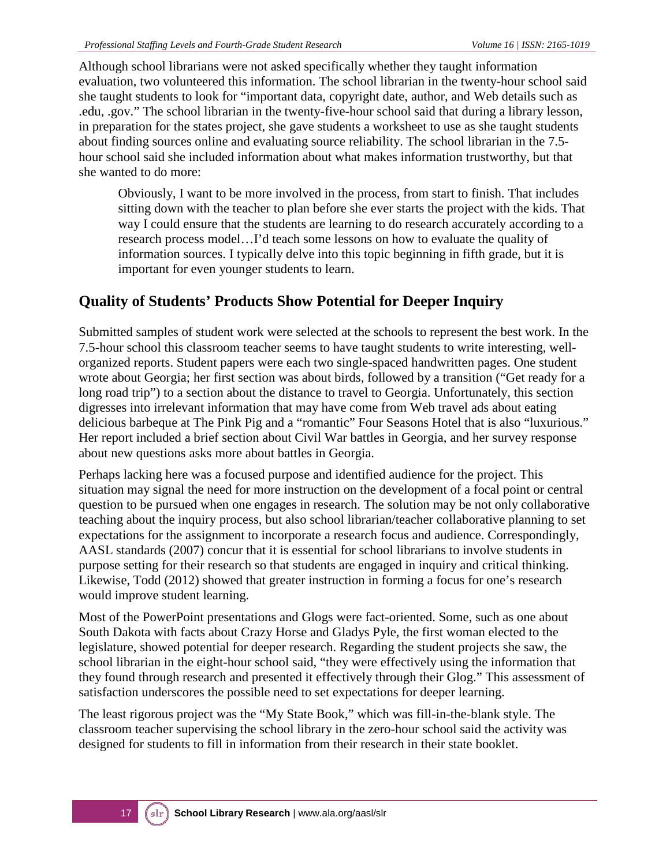Although school librarians were not asked specifically whether they taught information evaluation, two volunteered this information. The school librarian in the twenty-hour school said she taught students to look for "important data, copyright date, author, and Web details such as .edu, .gov." The school librarian in the twenty-five-hour school said that during a library lesson, in preparation for the states project, she gave students a worksheet to use as she taught students about finding sources online and evaluating source reliability. The school librarian in the 7.5 hour school said she included information about what makes information trustworthy, but that she wanted to do more:

Obviously, I want to be more involved in the process, from start to finish. That includes sitting down with the teacher to plan before she ever starts the project with the kids. That way I could ensure that the students are learning to do research accurately according to a research process model…I'd teach some lessons on how to evaluate the quality of information sources. I typically delve into this topic beginning in fifth grade, but it is important for even younger students to learn.

### **Quality of Students' Products Show Potential for Deeper Inquiry**

Submitted samples of student work were selected at the schools to represent the best work. In the 7.5-hour school this classroom teacher seems to have taught students to write interesting, wellorganized reports. Student papers were each two single-spaced handwritten pages. One student wrote about Georgia; her first section was about birds, followed by a transition ("Get ready for a long road trip") to a section about the distance to travel to Georgia. Unfortunately, this section digresses into irrelevant information that may have come from Web travel ads about eating delicious barbeque at The Pink Pig and a "romantic" Four Seasons Hotel that is also "luxurious." Her report included a brief section about Civil War battles in Georgia, and her survey response about new questions asks more about battles in Georgia.

Perhaps lacking here was a focused purpose and identified audience for the project. This situation may signal the need for more instruction on the development of a focal point or central question to be pursued when one engages in research. The solution may be not only collaborative teaching about the inquiry process, but also school librarian/teacher collaborative planning to set expectations for the assignment to incorporate a research focus and audience. Correspondingly, AASL standards (2007) concur that it is essential for school librarians to involve students in purpose setting for their research so that students are engaged in inquiry and critical thinking. Likewise, Todd (2012) showed that greater instruction in forming a focus for one's research would improve student learning.

Most of the PowerPoint presentations and Glogs were fact-oriented. Some, such as one about South Dakota with facts about Crazy Horse and Gladys Pyle, the first woman elected to the legislature, showed potential for deeper research. Regarding the student projects she saw, the school librarian in the eight-hour school said, "they were effectively using the information that they found through research and presented it effectively through their Glog." This assessment of satisfaction underscores the possible need to set expectations for deeper learning.

The least rigorous project was the "My State Book," which was fill-in-the-blank style. The classroom teacher supervising the school library in the zero-hour school said the activity was designed for students to fill in information from their research in their state booklet.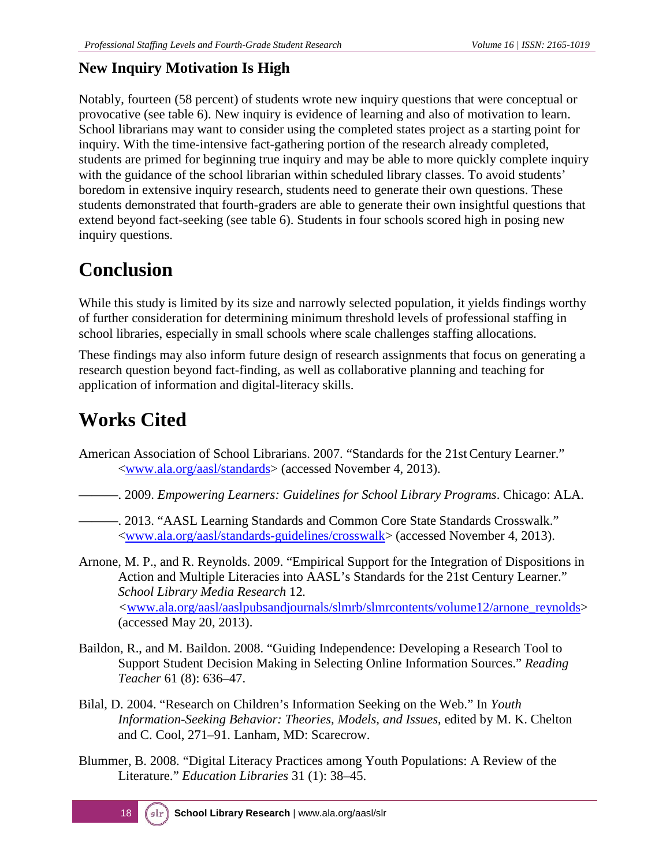### **New Inquiry Motivation Is High**

Notably, fourteen (58 percent) of students wrote new inquiry questions that were conceptual or provocative (see table 6). New inquiry is evidence of learning and also of motivation to learn. School librarians may want to consider using the completed states project as a starting point for inquiry. With the time-intensive fact-gathering portion of the research already completed, students are primed for beginning true inquiry and may be able to more quickly complete inquiry with the guidance of the school librarian within scheduled library classes. To avoid students' boredom in extensive inquiry research, students need to generate their own questions. These students demonstrated that fourth-graders are able to generate their own insightful questions that extend beyond fact-seeking (see table 6). Students in four schools scored high in posing new inquiry questions.

## **Conclusion**

While this study is limited by its size and narrowly selected population, it yields findings worthy of further consideration for determining minimum threshold levels of professional staffing in school libraries, especially in small schools where scale challenges staffing allocations.

These findings may also inform future design of research assignments that focus on generating a research question beyond fact-finding, as well as collaborative planning and teaching for application of information and digital-literacy skills.

## **Works Cited**

- American Association of School Librarians. 2007. "Standards for the 21st Century Learner." <www.ala.org/aasl/standards> (accessed November 4, 2013).
- ———. 2009. *Empowering Learners: Guidelines for School Library Programs*. Chicago: ALA.
- ———. 2013. "AASL Learning Standards and Common Core State Standards Crosswalk." [<www.ala.org/aasl/standards-guidelines/crosswalk>](http://www.ala.org/aasl/standards-guidelines/crosswalk) (accessed November 4, 2013).
- Arnone, M. P., and R. Reynolds. 2009. "Empirical Support for the Integration of Dispositions in Action and Multiple Literacies into AASL's Standards for the 21st Century Learner." *School Library Media Research* 12*. <*[www.ala.org/aasl/aaslpubsandjournals/slmrb/slmrcontents/volume12/arnone\\_reynolds>](http://www.ala.org/aasl/aaslpubsandjournals/slmrb/slmrcontents/volume12/arnone_reynolds) (accessed May 20, 2013).
- Baildon, R., and M. Baildon. 2008. "Guiding Independence: Developing a Research Tool to Support Student Decision Making in Selecting Online Information Sources." *Reading Teacher* 61 (8): 636–47.
- Bilal, D. 2004. "Research on Children's Information Seeking on the Web." In *Youth Information-Seeking Behavior: Theories, Models, and Issues*, edited by M. K. Chelton and C. Cool, 271–91. Lanham, MD: Scarecrow.
- Blummer, B. 2008. "Digital Literacy Practices among Youth Populations: A Review of the Literature." *Education Libraries* 31 (1): 38–45.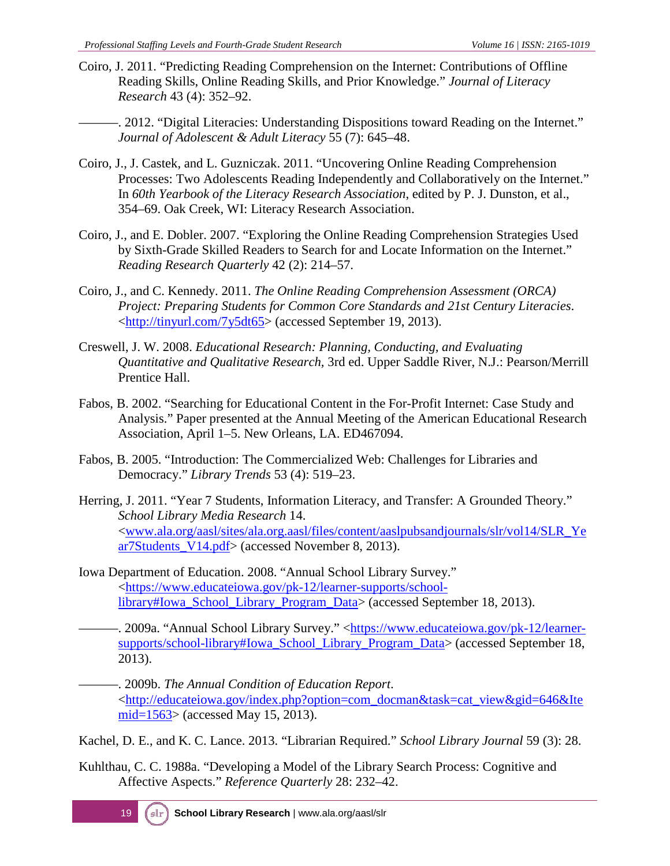- Coiro, J. 2011. "Predicting Reading Comprehension on the Internet: Contributions of Offline Reading Skills, Online Reading Skills, and Prior Knowledge." *Journal of Literacy Research* 43 (4): 352–92.
	- -. 2012. "Digital Literacies: Understanding Dispositions toward Reading on the Internet." *Journal of Adolescent & Adult Literacy* 55 (7): 645–48.
- Coiro, J., J. Castek, and L. Guzniczak. 2011. "Uncovering Online Reading Comprehension Processes: Two Adolescents Reading Independently and Collaboratively on the Internet." In *60th Yearbook of the Literacy Research Association*, edited by P. J. Dunston, et al., 354–69. Oak Creek, WI: Literacy Research Association.
- Coiro, J., and E. Dobler. 2007. "Exploring the Online Reading Comprehension Strategies Used by Sixth-Grade Skilled Readers to Search for and Locate Information on the Internet." *Reading Research Quarterly* 42 (2): 214–57.
- Coiro, J., and C. Kennedy. 2011. *The Online Reading Comprehension Assessment (ORCA) Project: Preparing Students for Common Core Standards and 21st Century Literacies*. [<http://tinyurl.com/7y5dt65>](http://tinyurl.com/7y5dt65) (accessed September 19, 2013).
- Creswell, J. W. 2008. *Educational Research: Planning, Conducting, and Evaluating Quantitative and Qualitative Research,* 3rd ed. Upper Saddle River, N.J.: Pearson/Merrill Prentice Hall.
- Fabos, B. 2002. "Searching for Educational Content in the For-Profit Internet: Case Study and Analysis." Paper presented at the Annual Meeting of the American Educational Research Association, April 1–5. New Orleans, LA. ED467094.
- Fabos, B. 2005. "Introduction: The Commercialized Web: Challenges for Libraries and Democracy." *Library Trends* 53 (4): 519–23.
- Herring, J. 2011. "Year 7 Students, Information Literacy, and Transfer: A Grounded Theory." *School Library Media Research* 14. [<www.ala.org/aasl/sites/ala.org.aasl/files/content/aaslpubsandjournals/slr/vol14/SLR\\_Ye](http://www.ala.org/aasl/sites/ala.org.aasl/files/content/aaslpubsandjournals/slr/vol14/SLR_Year7Students_V14.pdf) [ar7Students\\_V14.pdf>](http://www.ala.org/aasl/sites/ala.org.aasl/files/content/aaslpubsandjournals/slr/vol14/SLR_Year7Students_V14.pdf) (accessed November 8, 2013).
- Iowa Department of Education. 2008. "Annual School Library Survey." [<https://www.educateiowa.gov/pk-12/learner-supports/school](https://www.educateiowa.gov/pk-12/learner-supports/school-library%23Iowa_School_Library_Program_Data)[library#Iowa\\_School\\_Library\\_Program\\_Data>](https://www.educateiowa.gov/pk-12/learner-supports/school-library%23Iowa_School_Library_Program_Data) (accessed September 18, 2013).
- ———. 2009a. "Annual School Library Survey." [<https://www.educateiowa.gov/pk-12/learner](https://www.educateiowa.gov/pk-12/learner-supports/school-library%23Iowa_School_Library_Program_Data)[supports/school-library#Iowa\\_School\\_Library\\_Program\\_Data>](https://www.educateiowa.gov/pk-12/learner-supports/school-library%23Iowa_School_Library_Program_Data) (accessed September 18, 2013).
- ———. 2009b. *The Annual Condition of Education Report*. [<http://educateiowa.gov/index.php?option=com\\_docman&task=cat\\_view&gid=646&Ite](http://educateiowa.gov/index.php?option=com_docman&task=cat_view&gid=646&Itemid=1563) [mid=1563>](http://educateiowa.gov/index.php?option=com_docman&task=cat_view&gid=646&Itemid=1563) (accessed May 15, 2013).
- Kachel, D. E., and K. C. Lance. 2013. "Librarian Required." *School Library Journal* 59 (3): 28.
- Kuhlthau, C. C. 1988a. "Developing a Model of the Library Search Process: Cognitive and Affective Aspects." *Reference Quarterly* 28: 232–42.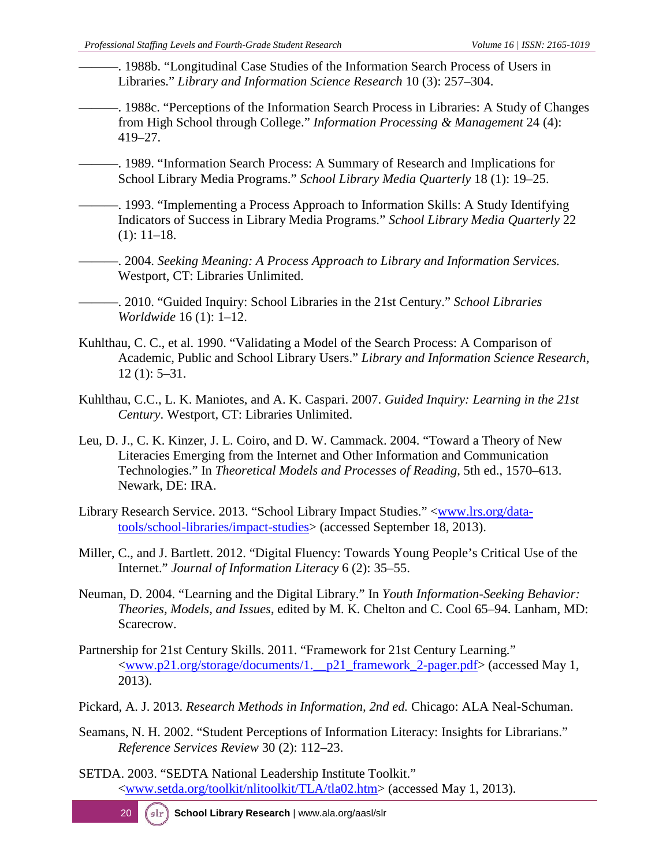- -. 1988b. "Longitudinal Case Studies of the Information Search Process of Users in Libraries." *Library and Information Science Research* 10 (3): 257–304.
- ———. 1988c. "Perceptions of the Information Search Process in Libraries: A Study of Changes from High School through College." *Information Processing & Management* 24 (4): 419–27.
- ———. 1989. "Information Search Process: A Summary of Research and Implications for School Library Media Programs." *School Library Media Quarterly* 18 (1): 19–25.
- -. 1993. "Implementing a Process Approach to Information Skills: A Study Identifying Indicators of Success in Library Media Programs." *School Library Media Quarterly* 22 (1): 11–18.
- ———. 2004. *Seeking Meaning: A Process Approach to Library and Information Services.*  Westport, CT: Libraries Unlimited.
- ———. 2010. "Guided Inquiry: School Libraries in the 21st Century." *School Libraries Worldwide* 16 (1): 1–12.
- Kuhlthau, C. C., et al. 1990. "Validating a Model of the Search Process: A Comparison of Academic, Public and School Library Users." *Library and Information Science Research,*  12 (1): 5–31.
- Kuhlthau, C.C., L. K. Maniotes, and A. K. Caspari. 2007. *Guided Inquiry: Learning in the 21st Century*. Westport, CT: Libraries Unlimited.
- Leu, D. J., C. K. Kinzer, J. L. Coiro, and D. W. Cammack. 2004. "Toward a Theory of New Literacies Emerging from the Internet and Other Information and Communication Technologies." In *Theoretical Models and Processes of Reading*, 5th ed., 1570–613. Newark, DE: IRA.
- Library Research Service. 2013. "School Library Impact Studies." [<www.lrs.org/data](http://www.lrs.org/data-tools/school-libraries/impact-studies/)[tools/school-libraries/impact-studies>](http://www.lrs.org/data-tools/school-libraries/impact-studies/) (accessed September 18, 2013).
- Miller, C., and J. Bartlett. 2012. "Digital Fluency: Towards Young People's Critical Use of the Internet." *Journal of Information Literacy* 6 (2): 35–55.
- Neuman, D. 2004. "Learning and the Digital Library." In *Youth Information-Seeking Behavior: Theories, Models, and Issues*, edited by M. K. Chelton and C. Cool 65–94. Lanham, MD: Scarecrow.
- Partnership for 21st Century Skills. 2011. "Framework for 21st Century Learning*.*" [<www.p21.org/storage/documents/1.\\_\\_p21\\_framework\\_2-pager.pdf>](http://www.p21.org/storage/documents/1.__p21_framework_2-pager.pdf) (accessed May 1, 2013).
- Pickard, A. J. 2013. *Research Methods in Information, 2nd ed.* Chicago: ALA Neal-Schuman.
- Seamans, N. H. 2002. "Student Perceptions of Information Literacy: Insights for Librarians." *Reference Services Review* 30 (2): 112–23.
- SETDA. 2003. "SEDTA National Leadership Institute Toolkit." [<www.setda.org/toolkit/nlitoolkit/TLA/tla02.htm>](http://www.setda.org/toolkit/nlitoolkit/TLA/tla02.htm) (accessed May 1, 2013).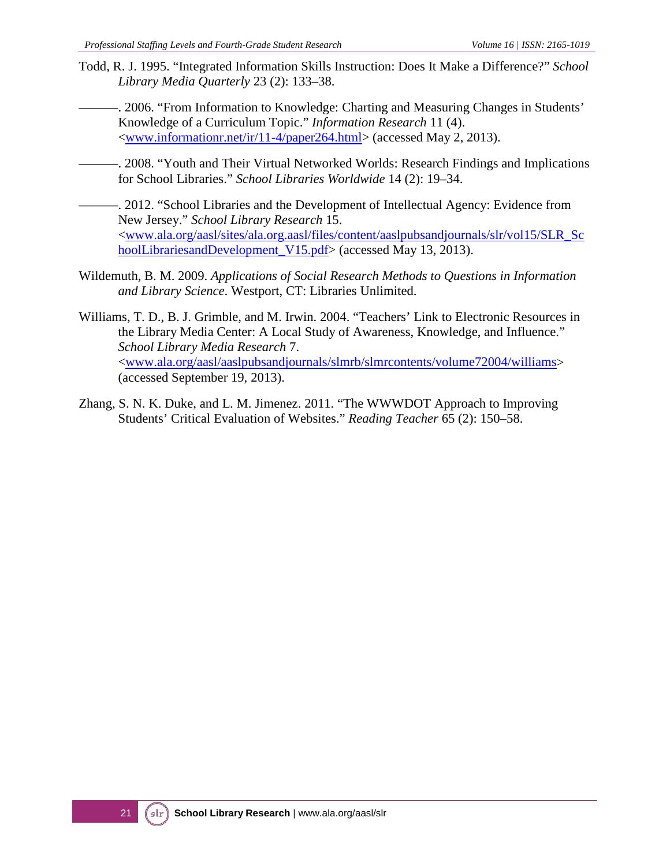- Todd, R. J. 1995. "Integrated Information Skills Instruction: Does It Make a Difference?" *School Library Media Quarterly* 23 (2): 133–38.
	- -. 2006. "From Information to Knowledge: Charting and Measuring Changes in Students' Knowledge of a Curriculum Topic." *Information Research* 11 (4). [<www.informationr.net/ir/11-4/paper264.html>](http://www.informationr.net/ir/11-4/paper264.html) (accessed May 2, 2013).
- ———. 2008. "Youth and Their Virtual Networked Worlds: Research Findings and Implications for School Libraries." *School Libraries Worldwide* 14 (2): 19–34.
- -. 2012. "School Libraries and the Development of Intellectual Agency: Evidence from New Jersey." *School Library Research* 15. [<www.ala.org/aasl/sites/ala.org.aasl/files/content/aaslpubsandjournals/slr/vol15/SLR\\_Sc](http://www.ala.org/aasl/sites/ala.org.aasl/files/content/aaslpubsandjournals/slr/vol15/SLR_SchoolLibrariesandDevelopment_V15.pdf) [hoolLibrariesandDevelopment\\_V15.pdf>](http://www.ala.org/aasl/sites/ala.org.aasl/files/content/aaslpubsandjournals/slr/vol15/SLR_SchoolLibrariesandDevelopment_V15.pdf) (accessed May 13, 2013).
- Wildemuth, B. M. 2009. *Applications of Social Research Methods to Questions in Information and Library Science*. Westport, CT: Libraries Unlimited.
- Williams, T. D., B. J. Grimble, and M. Irwin. 2004. "Teachers' Link to Electronic Resources in the Library Media Center: A Local Study of Awareness, Knowledge, and Influence." *School Library Media Research* 7. [<www.ala.org/aasl/aaslpubsandjournals/slmrb/slmrcontents/volume72004/williams>](http://www.ala.org/aasl/aaslpubsandjournals/slmrb/slmrcontents/volume72004/williams) (accessed September 19, 2013).
- Zhang, S. N. K. Duke, and L. M. Jimenez. 2011. "The WWWDOT Approach to Improving Students' Critical Evaluation of Websites." *Reading Teacher* 65 (2): 150–58.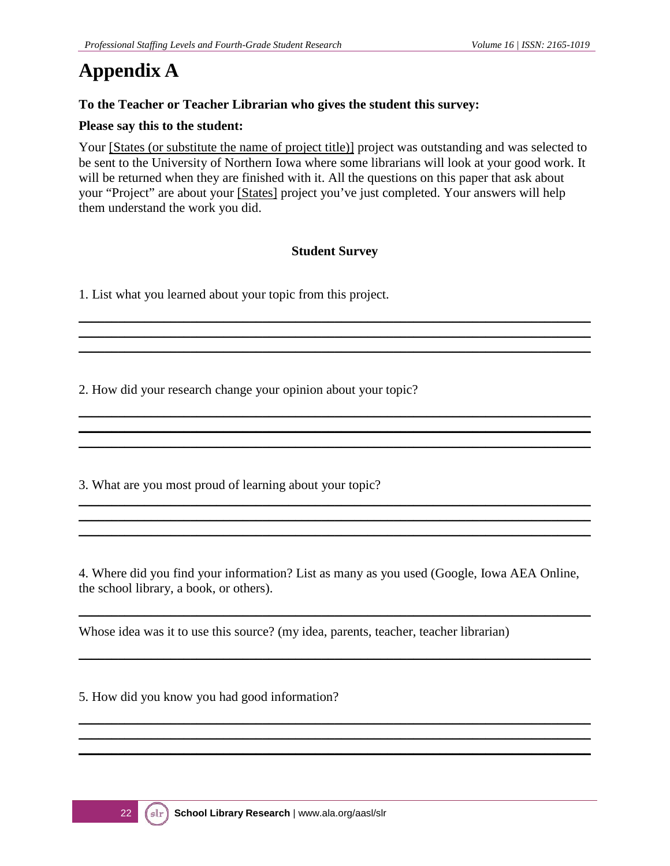## **Appendix A**

#### **To the Teacher or Teacher Librarian who gives the student this survey:**

#### **Please say this to the student:**

Your [States (or substitute the name of project title)] project was outstanding and was selected to be sent to the University of Northern Iowa where some librarians will look at your good work. It will be returned when they are finished with it. All the questions on this paper that ask about your "Project" are about your [States] project you've just completed. Your answers will help them understand the work you did.

#### **Student Survey**

\_\_\_\_\_\_\_\_\_\_\_\_\_\_\_\_\_\_\_\_\_\_\_\_\_\_\_\_\_\_\_\_\_\_\_\_\_\_\_\_\_\_\_\_\_\_\_\_\_\_\_\_\_\_\_\_\_\_\_\_\_\_\_\_\_\_\_\_\_\_\_\_\_\_\_\_\_\_ \_\_\_\_\_\_\_\_\_\_\_\_\_\_\_\_\_\_\_\_\_\_\_\_\_\_\_\_\_\_\_\_\_\_\_\_\_\_\_\_\_\_\_\_\_\_\_\_\_\_\_\_\_\_\_\_\_\_\_\_\_\_\_\_\_\_\_\_\_\_\_\_\_\_\_\_\_\_ \_\_\_\_\_\_\_\_\_\_\_\_\_\_\_\_\_\_\_\_\_\_\_\_\_\_\_\_\_\_\_\_\_\_\_\_\_\_\_\_\_\_\_\_\_\_\_\_\_\_\_\_\_\_\_\_\_\_\_\_\_\_\_\_\_\_\_\_\_\_\_\_\_\_\_\_\_\_

\_\_\_\_\_\_\_\_\_\_\_\_\_\_\_\_\_\_\_\_\_\_\_\_\_\_\_\_\_\_\_\_\_\_\_\_\_\_\_\_\_\_\_\_\_\_\_\_\_\_\_\_\_\_\_\_\_\_\_\_\_\_\_\_\_\_\_\_\_\_\_\_\_\_\_\_\_\_ \_\_\_\_\_\_\_\_\_\_\_\_\_\_\_\_\_\_\_\_\_\_\_\_\_\_\_\_\_\_\_\_\_\_\_\_\_\_\_\_\_\_\_\_\_\_\_\_\_\_\_\_\_\_\_\_\_\_\_\_\_\_\_\_\_\_\_\_\_\_\_\_\_\_\_\_\_\_ \_\_\_\_\_\_\_\_\_\_\_\_\_\_\_\_\_\_\_\_\_\_\_\_\_\_\_\_\_\_\_\_\_\_\_\_\_\_\_\_\_\_\_\_\_\_\_\_\_\_\_\_\_\_\_\_\_\_\_\_\_\_\_\_\_\_\_\_\_\_\_\_\_\_\_\_\_\_

\_\_\_\_\_\_\_\_\_\_\_\_\_\_\_\_\_\_\_\_\_\_\_\_\_\_\_\_\_\_\_\_\_\_\_\_\_\_\_\_\_\_\_\_\_\_\_\_\_\_\_\_\_\_\_\_\_\_\_\_\_\_\_\_\_\_\_\_\_\_\_\_\_\_\_\_\_\_ \_\_\_\_\_\_\_\_\_\_\_\_\_\_\_\_\_\_\_\_\_\_\_\_\_\_\_\_\_\_\_\_\_\_\_\_\_\_\_\_\_\_\_\_\_\_\_\_\_\_\_\_\_\_\_\_\_\_\_\_\_\_\_\_\_\_\_\_\_\_\_\_\_\_\_\_\_\_ \_\_\_\_\_\_\_\_\_\_\_\_\_\_\_\_\_\_\_\_\_\_\_\_\_\_\_\_\_\_\_\_\_\_\_\_\_\_\_\_\_\_\_\_\_\_\_\_\_\_\_\_\_\_\_\_\_\_\_\_\_\_\_\_\_\_\_\_\_\_\_\_\_\_\_\_\_\_

1. List what you learned about your topic from this project.

2. How did your research change your opinion about your topic?

3. What are you most proud of learning about your topic?

4. Where did you find your information? List as many as you used (Google, Iowa AEA Online, the school library, a book, or others).

\_\_\_\_\_\_\_\_\_\_\_\_\_\_\_\_\_\_\_\_\_\_\_\_\_\_\_\_\_\_\_\_\_\_\_\_\_\_\_\_\_\_\_\_\_\_\_\_\_\_\_\_\_\_\_\_\_\_\_\_\_\_\_\_\_\_\_\_\_\_\_\_\_\_\_\_\_\_

\_\_\_\_\_\_\_\_\_\_\_\_\_\_\_\_\_\_\_\_\_\_\_\_\_\_\_\_\_\_\_\_\_\_\_\_\_\_\_\_\_\_\_\_\_\_\_\_\_\_\_\_\_\_\_\_\_\_\_\_\_\_\_\_\_\_\_\_\_\_\_\_\_\_\_\_\_\_

\_\_\_\_\_\_\_\_\_\_\_\_\_\_\_\_\_\_\_\_\_\_\_\_\_\_\_\_\_\_\_\_\_\_\_\_\_\_\_\_\_\_\_\_\_\_\_\_\_\_\_\_\_\_\_\_\_\_\_\_\_\_\_\_\_\_\_\_\_\_\_\_\_\_\_\_\_\_ \_\_\_\_\_\_\_\_\_\_\_\_\_\_\_\_\_\_\_\_\_\_\_\_\_\_\_\_\_\_\_\_\_\_\_\_\_\_\_\_\_\_\_\_\_\_\_\_\_\_\_\_\_\_\_\_\_\_\_\_\_\_\_\_\_\_\_\_\_\_\_\_\_\_\_\_\_\_ \_\_\_\_\_\_\_\_\_\_\_\_\_\_\_\_\_\_\_\_\_\_\_\_\_\_\_\_\_\_\_\_\_\_\_\_\_\_\_\_\_\_\_\_\_\_\_\_\_\_\_\_\_\_\_\_\_\_\_\_\_\_\_\_\_\_\_\_\_\_\_\_\_\_\_\_\_\_

Whose idea was it to use this source? (my idea, parents, teacher, teacher librarian)

5. How did you know you had good information?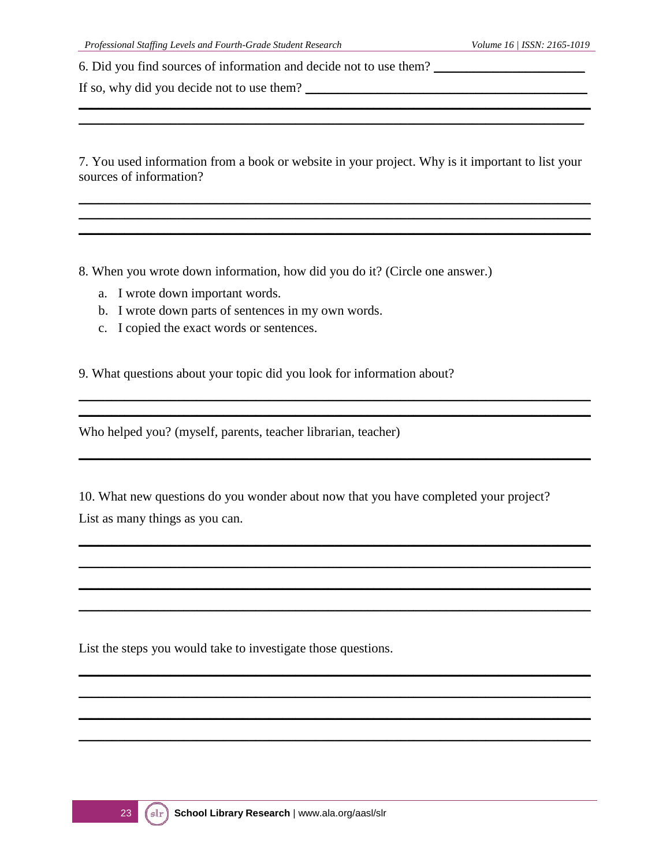6. Did you find sources of information and decide not to use them? \_\_\_\_\_\_\_\_\_\_\_\_\_\_

If so, why did you decide not to use them?

7. You used information from a book or website in your project. Why is it important to list your sources of information?

\_\_\_\_\_\_\_\_\_\_\_\_\_\_\_\_\_\_\_\_\_\_\_\_\_\_\_\_\_\_\_\_\_\_\_\_\_\_\_\_\_\_\_\_\_\_\_\_\_\_\_\_\_\_\_\_\_\_\_\_\_\_\_\_\_\_\_\_\_\_\_\_\_\_\_\_\_\_ \_\_\_\_\_\_\_\_\_\_\_\_\_\_\_\_\_\_\_\_\_\_\_\_\_\_\_\_\_\_\_\_\_\_\_\_\_\_\_\_\_\_\_\_\_\_\_\_\_\_\_\_\_\_\_\_\_\_\_\_\_\_\_\_\_\_\_\_\_\_\_\_\_\_\_\_\_\_ \_\_\_\_\_\_\_\_\_\_\_\_\_\_\_\_\_\_\_\_\_\_\_\_\_\_\_\_\_\_\_\_\_\_\_\_\_\_\_\_\_\_\_\_\_\_\_\_\_\_\_\_\_\_\_\_\_\_\_\_\_\_\_\_\_\_\_\_\_\_\_\_\_\_\_\_\_\_

\_\_\_\_\_\_\_\_\_\_\_\_\_\_\_\_\_\_\_\_\_\_\_\_\_\_\_\_\_\_\_\_\_\_\_\_\_\_\_\_\_\_\_\_\_\_\_\_\_\_\_\_\_\_\_\_\_\_\_\_\_\_\_\_\_\_\_\_\_\_\_\_\_\_\_\_\_\_ \_\_\_\_\_\_\_\_\_\_\_\_\_\_\_\_\_\_\_\_\_\_\_\_\_\_\_\_\_\_\_\_\_\_\_\_\_\_\_\_\_\_\_\_\_\_\_\_\_\_\_\_\_\_\_\_\_\_\_\_\_\_\_\_\_\_\_\_\_\_\_\_\_\_\_\_\_\_

\_\_\_\_\_\_\_\_\_\_\_\_\_\_\_\_\_\_\_\_\_\_\_\_\_\_\_\_\_\_\_\_\_\_\_\_\_\_\_\_\_\_\_\_\_\_\_\_\_\_\_\_\_\_\_\_\_\_\_\_\_\_\_\_\_\_\_\_\_\_\_\_\_\_\_\_\_\_

\_\_\_\_\_\_\_\_\_\_\_\_\_\_\_\_\_\_\_\_\_\_\_\_\_\_\_\_\_\_\_\_\_\_\_\_\_\_\_\_\_\_\_\_\_\_\_\_\_\_\_\_\_\_\_\_\_\_\_\_\_\_\_\_\_\_\_\_\_\_\_\_\_\_\_\_\_\_ \_\_\_\_\_\_\_\_\_\_\_\_\_\_\_\_\_\_\_\_\_\_\_\_\_\_\_\_\_\_\_\_\_\_\_\_\_\_\_\_\_\_\_\_\_\_\_\_\_\_\_\_\_\_\_\_\_\_\_\_\_\_\_\_\_\_\_\_\_\_\_\_\_\_\_\_\_\_ \_\_\_\_\_\_\_\_\_\_\_\_\_\_\_\_\_\_\_\_\_\_\_\_\_\_\_\_\_\_\_\_\_\_\_\_\_\_\_\_\_\_\_\_\_\_\_\_\_\_\_\_\_\_\_\_\_\_\_\_\_\_\_\_\_\_\_\_\_\_\_\_\_\_\_\_\_\_ \_\_\_\_\_\_\_\_\_\_\_\_\_\_\_\_\_\_\_\_\_\_\_\_\_\_\_\_\_\_\_\_\_\_\_\_\_\_\_\_\_\_\_\_\_\_\_\_\_\_\_\_\_\_\_\_\_\_\_\_\_\_\_\_\_\_\_\_\_\_\_\_\_\_\_\_\_\_

\_\_\_\_\_\_\_\_\_\_\_\_\_\_\_\_\_\_\_\_\_\_\_\_\_\_\_\_\_\_\_\_\_\_\_\_\_\_\_\_\_\_\_\_\_\_\_\_\_\_\_\_\_\_\_\_\_\_\_\_\_\_\_\_\_\_\_\_\_\_\_\_\_\_\_\_\_\_ \_\_\_\_\_\_\_\_\_\_\_\_\_\_\_\_\_\_\_\_\_\_\_\_\_\_\_\_\_\_\_\_\_\_\_\_\_\_\_\_\_\_\_\_\_\_\_\_\_\_\_\_\_\_\_\_\_\_\_\_\_\_\_\_\_\_\_\_\_\_\_\_\_\_\_\_\_\_ \_\_\_\_\_\_\_\_\_\_\_\_\_\_\_\_\_\_\_\_\_\_\_\_\_\_\_\_\_\_\_\_\_\_\_\_\_\_\_\_\_\_\_\_\_\_\_\_\_\_\_\_\_\_\_\_\_\_\_\_\_\_\_\_\_\_\_\_\_\_\_\_\_\_\_\_\_\_ \_\_\_\_\_\_\_\_\_\_\_\_\_\_\_\_\_\_\_\_\_\_\_\_\_\_\_\_\_\_\_\_\_\_\_\_\_\_\_\_\_\_\_\_\_\_\_\_\_\_\_\_\_\_\_\_\_\_\_\_\_\_\_\_\_\_\_\_\_\_\_\_\_\_\_\_\_\_

\_\_\_\_\_\_\_\_\_\_\_\_\_\_\_\_\_\_\_\_\_\_\_\_\_\_\_\_\_\_\_\_\_\_\_\_\_\_\_\_\_\_\_\_\_\_\_\_\_\_\_\_\_\_\_\_\_\_\_\_\_\_\_\_\_\_\_\_\_\_\_\_\_\_\_\_\_

8. When you wrote down information, how did you do it? (Circle one answer.)

- a. I wrote down important words.
- b. I wrote down parts of sentences in my own words.
- c. I copied the exact words or sentences.

9. What questions about your topic did you look for information about?

Who helped you? (myself, parents, teacher librarian, teacher)

10. What new questions do you wonder about now that you have completed your project? List as many things as you can.

List the steps you would take to investigate those questions.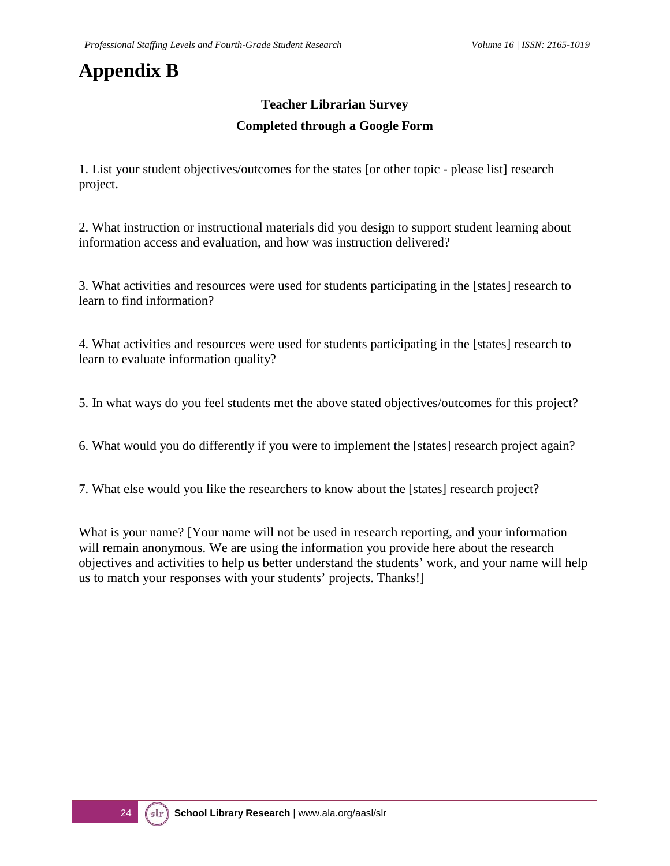## **Appendix B**

### **Teacher Librarian Survey Completed through a Google Form**

1. List your student objectives/outcomes for the states [or other topic - please list] research project.

2. What instruction or instructional materials did you design to support student learning about information access and evaluation, and how was instruction delivered?

3. What activities and resources were used for students participating in the [states] research to learn to find information?

4. What activities and resources were used for students participating in the [states] research to learn to evaluate information quality?

5. In what ways do you feel students met the above stated objectives/outcomes for this project?

6. What would you do differently if you were to implement the [states] research project again?

7. What else would you like the researchers to know about the [states] research project?

What is your name? [Your name will not be used in research reporting, and your information will remain anonymous. We are using the information you provide here about the research objectives and activities to help us better understand the students' work, and your name will help us to match your responses with your students' projects. Thanks!]